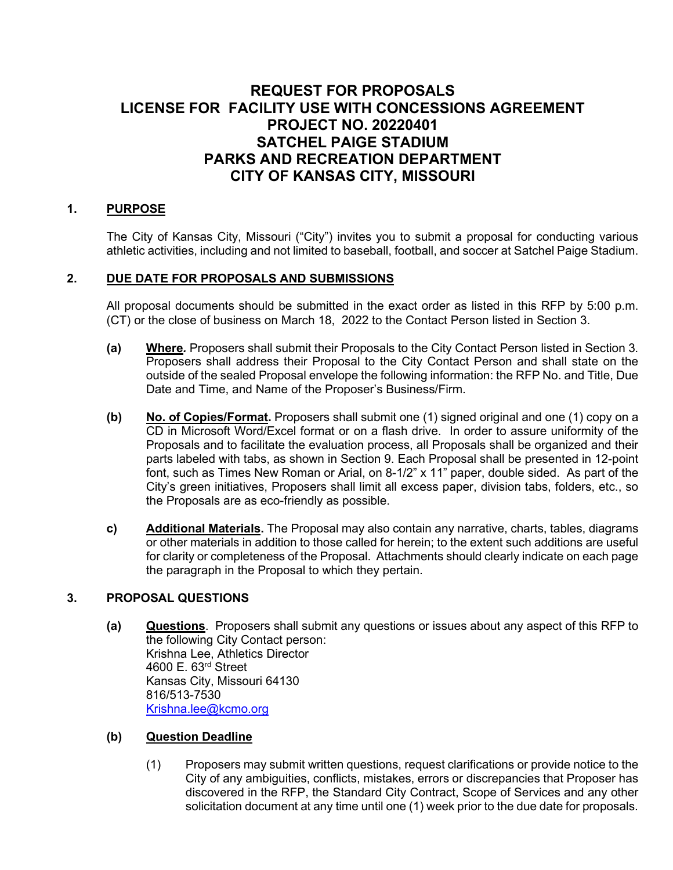# **REQUEST FOR PROPOSALS LICENSE FOR FACILITY USE WITH CONCESSIONS AGREEMENT PROJECT NO. 20220401 SATCHEL PAIGE STADIUM PARKS AND RECREATION DEPARTMENT CITY OF KANSAS CITY, MISSOURI**

### **1. PURPOSE**

The City of Kansas City, Missouri ("City") invites you to submit a proposal for conducting various athletic activities, including and not limited to baseball, football, and soccer at Satchel Paige Stadium.

#### **2. DUE DATE FOR PROPOSALS AND SUBMISSIONS**

All proposal documents should be submitted in the exact order as listed in this RFP by 5:00 p.m. (CT) or the close of business on March 18, 2022 to the Contact Person listed in Section 3.

- **(a) Where***.* Proposers shall submit their Proposals to the City Contact Person listed in Section 3. Proposers shall address their Proposal to the City Contact Person and shall state on the outside of the sealed Proposal envelope the following information: the RFP No. and Title, Due Date and Time, and Name of the Proposer's Business/Firm.
- **(b) No. of Copies/Format.** Proposers shall submit one (1) signed original and one (1) copy on a CD in Microsoft Word/Excel format or on a flash drive. In order to assure uniformity of the Proposals and to facilitate the evaluation process, all Proposals shall be organized and their parts labeled with tabs, as shown in Section 9. Each Proposal shall be presented in 12-point font, such as Times New Roman or Arial, on 8-1/2" x 11" paper, double sided. As part of the City's green initiatives, Proposers shall limit all excess paper, division tabs, folders, etc., so the Proposals are as eco-friendly as possible.
- **c) Additional Materials.** The Proposal may also contain any narrative, charts, tables, diagrams or other materials in addition to those called for herein; to the extent such additions are useful for clarity or completeness of the Proposal. Attachments should clearly indicate on each page the paragraph in the Proposal to which they pertain.

#### **3. PROPOSAL QUESTIONS**

**(a) Questions**. Proposers shall submit any questions or issues about any aspect of this RFP to the following City Contact person: Krishna Lee, Athletics Director 4600 E. 63rd Street Kansas City, Missouri 64130 816/513-7530 [Krishna.lee@kcmo.org](mailto:Krishna.lee@kcmo.org)

#### **(b) Question Deadline**

(1) Proposers may submit written questions, request clarifications or provide notice to the City of any ambiguities, conflicts, mistakes, errors or discrepancies that Proposer has discovered in the RFP, the Standard City Contract, Scope of Services and any other solicitation document at any time until one (1) week prior to the due date for proposals.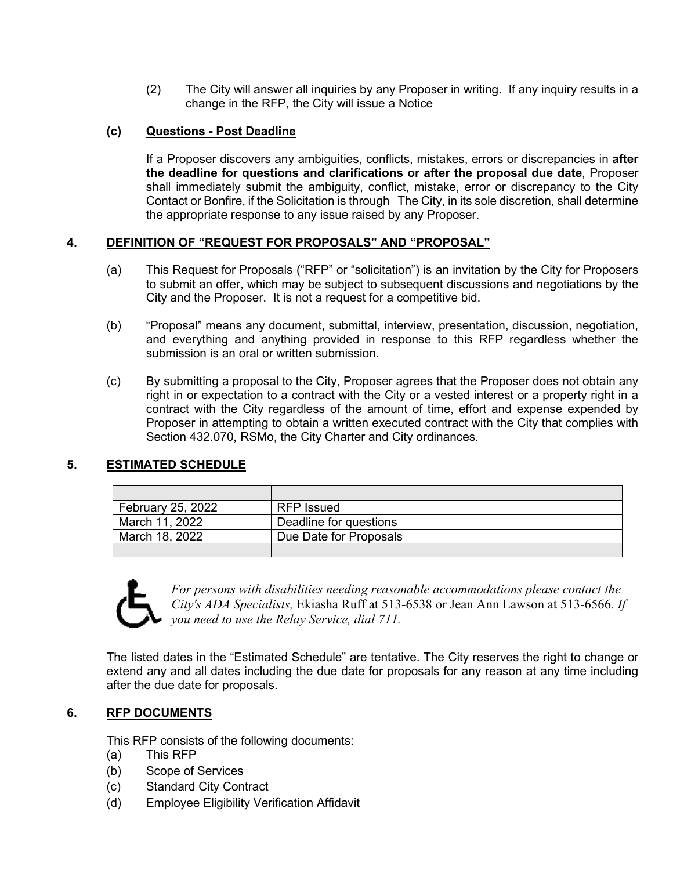(2) The City will answer all inquiries by any Proposer in writing. If any inquiry results in a change in the RFP, the City will issue a Notice

#### **(c) Questions - Post Deadline**

If a Proposer discovers any ambiguities, conflicts, mistakes, errors or discrepancies in **after the deadline for questions and clarifications or after the proposal due date**, Proposer shall immediately submit the ambiguity, conflict, mistake, error or discrepancy to the City Contact or Bonfire, if the Solicitation is through The City, in its sole discretion, shall determine the appropriate response to any issue raised by any Proposer.

#### **4. DEFINITION OF "REQUEST FOR PROPOSALS" AND "PROPOSAL"**

- (a) This Request for Proposals ("RFP" or "solicitation") is an invitation by the City for Proposers to submit an offer, which may be subject to subsequent discussions and negotiations by the City and the Proposer. It is not a request for a competitive bid.
- (b) "Proposal" means any document, submittal, interview, presentation, discussion, negotiation, and everything and anything provided in response to this RFP regardless whether the submission is an oral or written submission.
- (c) By submitting a proposal to the City, Proposer agrees that the Proposer does not obtain any right in or expectation to a contract with the City or a vested interest or a property right in a contract with the City regardless of the amount of time, effort and expense expended by Proposer in attempting to obtain a written executed contract with the City that complies with Section 432.070, RSMo, the City Charter and City ordinances.

# **5. ESTIMATED SCHEDULE**

| February 25, 2022 | <b>RFP</b> Issued      |
|-------------------|------------------------|
| March 11, 2022    | Deadline for questions |
| March 18, 2022    | Due Date for Proposals |
|                   |                        |



*For persons with disabilities needing reasonable accommodations please contact the City's ADA Specialists,* Ekiasha Ruff at 513-6538 or Jean Ann Lawson at 513-6566*. If you need to use the Relay Service, dial 711.*

The listed dates in the "Estimated Schedule" are tentative. The City reserves the right to change or extend any and all dates including the due date for proposals for any reason at any time including after the due date for proposals.

#### **6. RFP DOCUMENTS**

This RFP consists of the following documents:

- (a) This RFP
- (b) Scope of Services
- (c) Standard City Contract
- (d) Employee Eligibility Verification Affidavit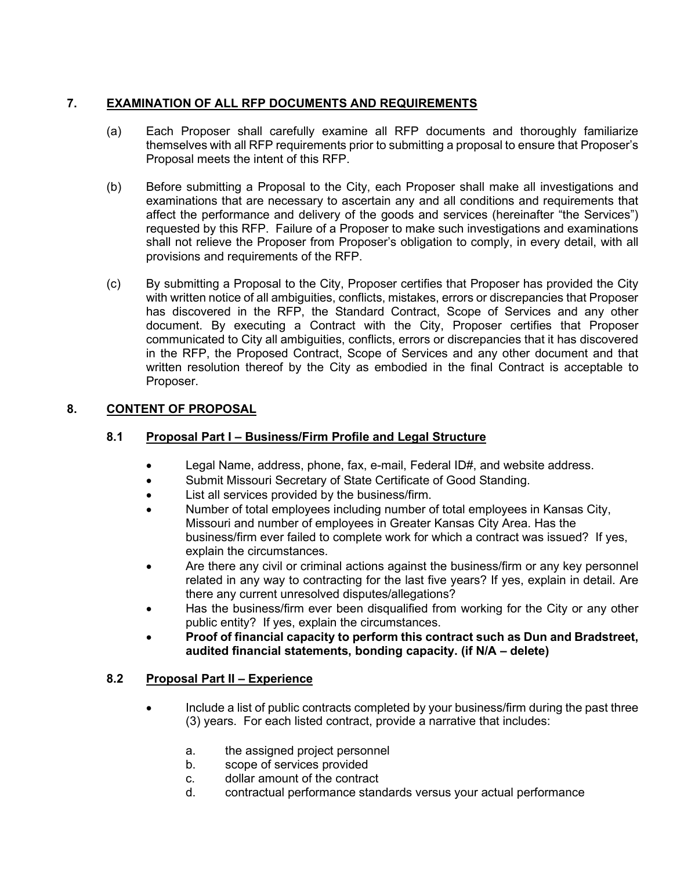# **7. EXAMINATION OF ALL RFP DOCUMENTS AND REQUIREMENTS**

- (a) Each Proposer shall carefully examine all RFP documents and thoroughly familiarize themselves with all RFP requirements prior to submitting a proposal to ensure that Proposer's Proposal meets the intent of this RFP.
- (b) Before submitting a Proposal to the City, each Proposer shall make all investigations and examinations that are necessary to ascertain any and all conditions and requirements that affect the performance and delivery of the goods and services (hereinafter "the Services") requested by this RFP. Failure of a Proposer to make such investigations and examinations shall not relieve the Proposer from Proposer's obligation to comply, in every detail, with all provisions and requirements of the RFP.
- (c) By submitting a Proposal to the City, Proposer certifies that Proposer has provided the City with written notice of all ambiguities, conflicts, mistakes, errors or discrepancies that Proposer has discovered in the RFP, the Standard Contract, Scope of Services and any other document. By executing a Contract with the City, Proposer certifies that Proposer communicated to City all ambiguities, conflicts, errors or discrepancies that it has discovered in the RFP, the Proposed Contract, Scope of Services and any other document and that written resolution thereof by the City as embodied in the final Contract is acceptable to Proposer.

# **8. CONTENT OF PROPOSAL**

# **8.1 Proposal Part I – Business/Firm Profile and Legal Structure**

- Legal Name, address, phone, fax, e-mail, Federal ID#, and website address.
- Submit Missouri Secretary of State Certificate of Good Standing.
- List all services provided by the business/firm.
- Number of total employees including number of total employees in Kansas City, Missouri and number of employees in Greater Kansas City Area. Has the business/firm ever failed to complete work for which a contract was issued? If yes, explain the circumstances.
- Are there any civil or criminal actions against the business/firm or any key personnel related in any way to contracting for the last five years? If yes, explain in detail. Are there any current unresolved disputes/allegations?
- Has the business/firm ever been disqualified from working for the City or any other public entity? If yes, explain the circumstances.
- **Proof of financial capacity to perform this contract such as Dun and Bradstreet, audited financial statements, bonding capacity. (if N/A – delete)**

# **8.2 Proposal Part II – Experience**

- Include a list of public contracts completed by your business/firm during the past three (3) years. For each listed contract, provide a narrative that includes:
	- a. the assigned project personnel
	- b. scope of services provided
	- c. dollar amount of the contract
	- d. contractual performance standards versus your actual performance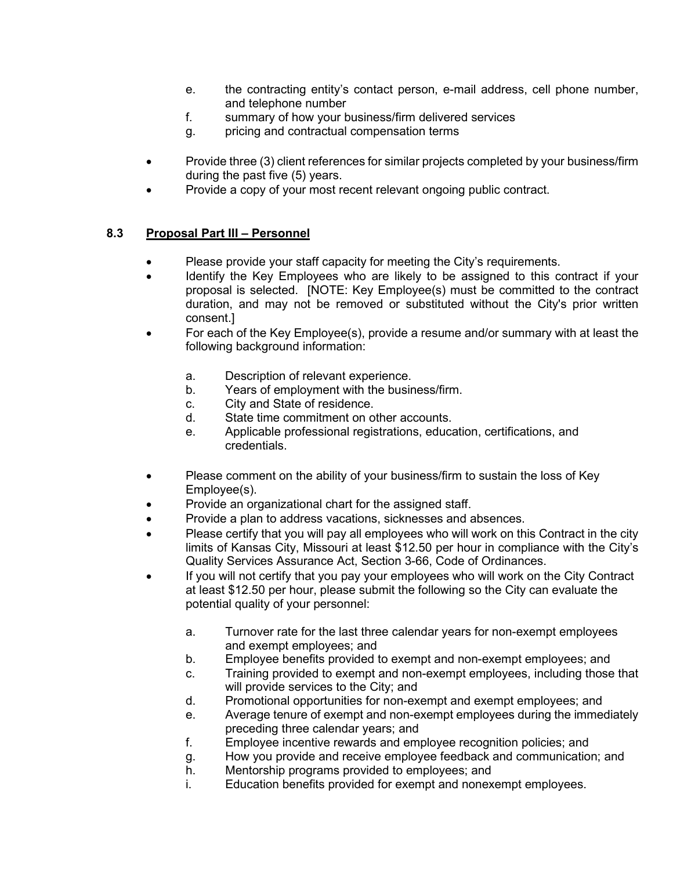- e. the contracting entity's contact person, e-mail address, cell phone number, and telephone number
- f. summary of how your business/firm delivered services
- g. pricing and contractual compensation terms
- Provide three (3) client references for similar projects completed by your business/firm during the past five (5) years.
- Provide a copy of your most recent relevant ongoing public contract.

#### **8.3 Proposal Part III – Personnel**

- Please provide your staff capacity for meeting the City's requirements.
- Identify the Key Employees who are likely to be assigned to this contract if your proposal is selected. [NOTE: Key Employee(s) must be committed to the contract duration, and may not be removed or substituted without the City's prior written consent.]
- For each of the Key Employee(s), provide a resume and/or summary with at least the following background information:
	- a. Description of relevant experience.
	- b. Years of employment with the business/firm.
	- c. City and State of residence.
	- d. State time commitment on other accounts.
	- e. Applicable professional registrations, education, certifications, and credentials.
- Please comment on the ability of your business/firm to sustain the loss of Key Employee(s).
- Provide an organizational chart for the assigned staff.
- Provide a plan to address vacations, sicknesses and absences.
- Please certify that you will pay all employees who will work on this Contract in the city limits of Kansas City, Missouri at least \$12.50 per hour in compliance with the City's Quality Services Assurance Act, Section 3-66, Code of Ordinances.
- If you will not certify that you pay your employees who will work on the City Contract at least \$12.50 per hour, please submit the following so the City can evaluate the potential quality of your personnel:
	- a. Turnover rate for the last three calendar years for non-exempt employees and exempt employees; and
	- b. Employee benefits provided to exempt and non-exempt employees; and
	- c. Training provided to exempt and non-exempt employees, including those that will provide services to the City; and
	- d. Promotional opportunities for non-exempt and exempt employees; and
	- e. Average tenure of exempt and non-exempt employees during the immediately preceding three calendar years; and
	- f. Employee incentive rewards and employee recognition policies; and
	- g. How you provide and receive employee feedback and communication; and
	- h. Mentorship programs provided to employees; and
	- i. Education benefits provided for exempt and nonexempt employees.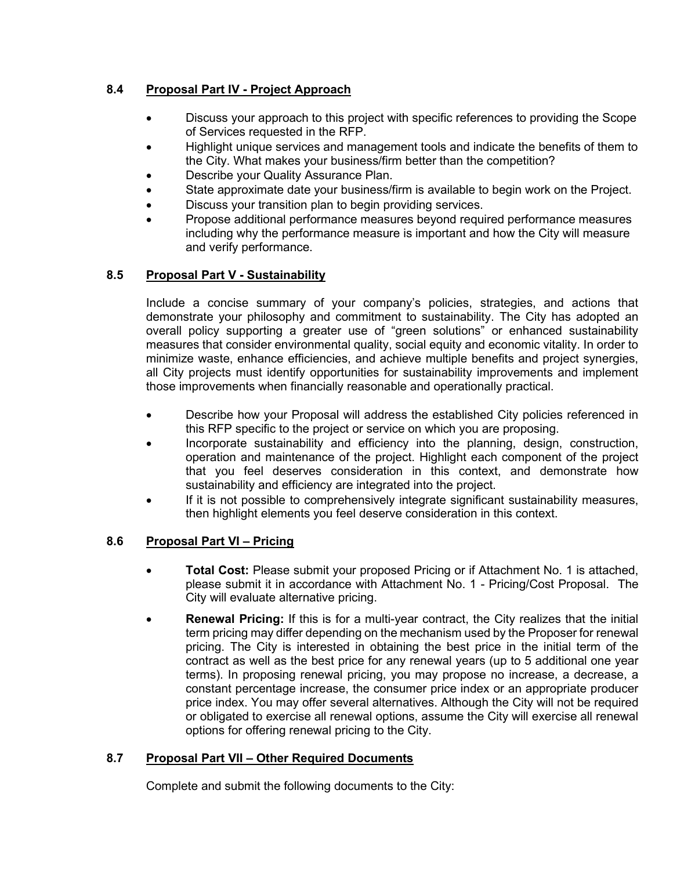# **8.4 Proposal Part IV - Project Approach**

- Discuss your approach to this project with specific references to providing the Scope of Services requested in the RFP.
- Highlight unique services and management tools and indicate the benefits of them to the City. What makes your business/firm better than the competition?
- Describe your Quality Assurance Plan.
- State approximate date your business/firm is available to begin work on the Project.
- Discuss your transition plan to begin providing services.
- Propose additional performance measures beyond required performance measures including why the performance measure is important and how the City will measure and verify performance.

# **8.5 Proposal Part V - Sustainability**

Include a concise summary of your company's policies, strategies, and actions that demonstrate your philosophy and commitment to sustainability. The City has adopted an overall policy supporting a greater use of "green solutions" or enhanced sustainability measures that consider environmental quality, social equity and economic vitality. In order to minimize waste, enhance efficiencies, and achieve multiple benefits and project synergies, all City projects must identify opportunities for sustainability improvements and implement those improvements when financially reasonable and operationally practical.

- Describe how your Proposal will address the established City policies referenced in this RFP specific to the project or service on which you are proposing.
- Incorporate sustainability and efficiency into the planning, design, construction, operation and maintenance of the project. Highlight each component of the project that you feel deserves consideration in this context, and demonstrate how sustainability and efficiency are integrated into the project.
- If it is not possible to comprehensively integrate significant sustainability measures, then highlight elements you feel deserve consideration in this context.

# **8.6 Proposal Part VI – Pricing**

- **Total Cost:** Please submit your proposed Pricing or if Attachment No. 1 is attached, please submit it in accordance with Attachment No. 1 - Pricing/Cost Proposal. The City will evaluate alternative pricing.
- **Renewal Pricing:** If this is for a multi-year contract, the City realizes that the initial term pricing may differ depending on the mechanism used by the Proposer for renewal pricing. The City is interested in obtaining the best price in the initial term of the contract as well as the best price for any renewal years (up to 5 additional one year terms). In proposing renewal pricing, you may propose no increase, a decrease, a constant percentage increase, the consumer price index or an appropriate producer price index. You may offer several alternatives. Although the City will not be required or obligated to exercise all renewal options, assume the City will exercise all renewal options for offering renewal pricing to the City.

# **8.7 Proposal Part VII – Other Required Documents**

Complete and submit the following documents to the City: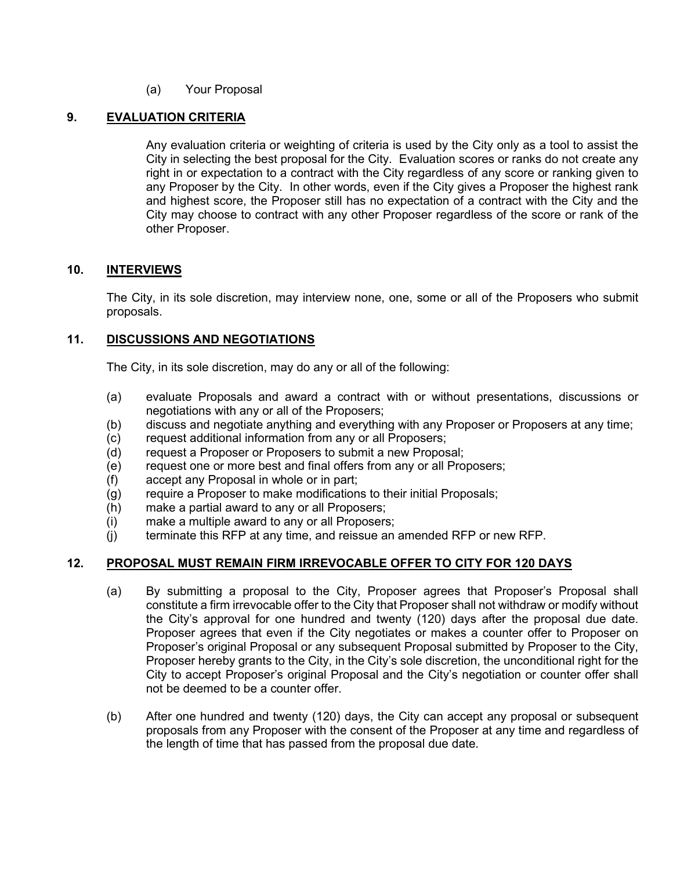#### (a) Your Proposal

#### **9. EVALUATION CRITERIA**

Any evaluation criteria or weighting of criteria is used by the City only as a tool to assist the City in selecting the best proposal for the City. Evaluation scores or ranks do not create any right in or expectation to a contract with the City regardless of any score or ranking given to any Proposer by the City. In other words, even if the City gives a Proposer the highest rank and highest score, the Proposer still has no expectation of a contract with the City and the City may choose to contract with any other Proposer regardless of the score or rank of the other Proposer.

#### **10. INTERVIEWS**

The City, in its sole discretion, may interview none, one, some or all of the Proposers who submit proposals.

#### **11. DISCUSSIONS AND NEGOTIATIONS**

The City, in its sole discretion, may do any or all of the following:

- (a) evaluate Proposals and award a contract with or without presentations, discussions or negotiations with any or all of the Proposers;
- (b) discuss and negotiate anything and everything with any Proposer or Proposers at any time;
- (c) request additional information from any or all Proposers;
- (d) request a Proposer or Proposers to submit a new Proposal;
- (e) request one or more best and final offers from any or all Proposers;
- (f) accept any Proposal in whole or in part;
- (g) require a Proposer to make modifications to their initial Proposals;
- (h) make a partial award to any or all Proposers;
- (i) make a multiple award to any or all Proposers;
- (j) terminate this RFP at any time, and reissue an amended RFP or new RFP.

#### **12. PROPOSAL MUST REMAIN FIRM IRREVOCABLE OFFER TO CITY FOR 120 DAYS**

- (a) By submitting a proposal to the City, Proposer agrees that Proposer's Proposal shall constitute a firm irrevocable offer to the City that Proposer shall not withdraw or modify without the City's approval for one hundred and twenty (120) days after the proposal due date. Proposer agrees that even if the City negotiates or makes a counter offer to Proposer on Proposer's original Proposal or any subsequent Proposal submitted by Proposer to the City, Proposer hereby grants to the City, in the City's sole discretion, the unconditional right for the City to accept Proposer's original Proposal and the City's negotiation or counter offer shall not be deemed to be a counter offer.
- (b) After one hundred and twenty (120) days, the City can accept any proposal or subsequent proposals from any Proposer with the consent of the Proposer at any time and regardless of the length of time that has passed from the proposal due date.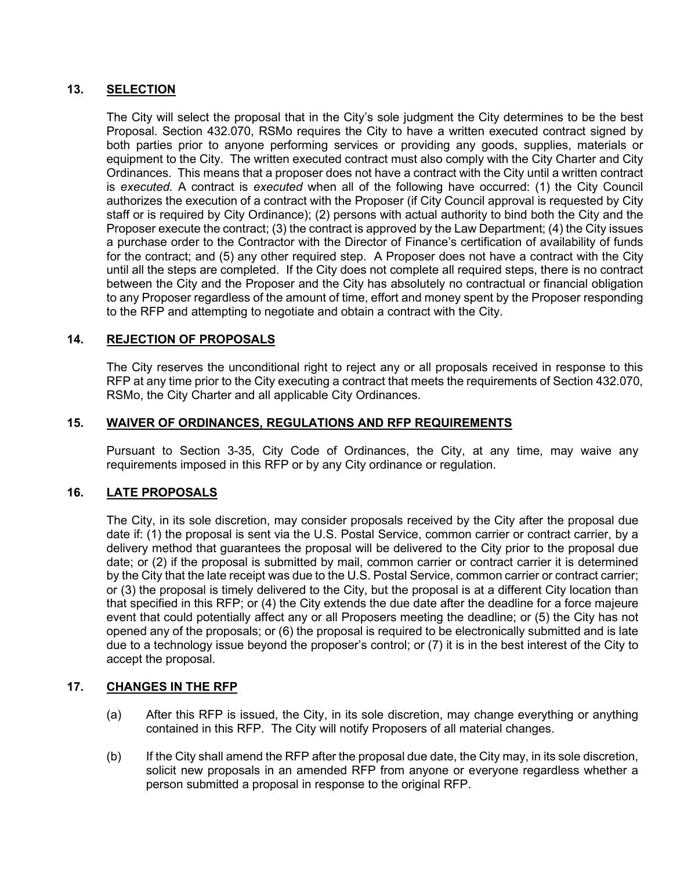#### **13. SELECTION**

The City will select the proposal that in the City's sole judgment the City determines to be the best Proposal. Section 432.070, RSMo requires the City to have a written executed contract signed by both parties prior to anyone performing services or providing any goods, supplies, materials or equipment to the City. The written executed contract must also comply with the City Charter and City Ordinances. This means that a proposer does not have a contract with the City until a written contract is *executed.* A contract is *executed* when all of the following have occurred: (1) the City Council authorizes the execution of a contract with the Proposer (if City Council approval is requested by City staff or is required by City Ordinance); (2) persons with actual authority to bind both the City and the Proposer execute the contract; (3) the contract is approved by the Law Department; (4) the City issues a purchase order to the Contractor with the Director of Finance's certification of availability of funds for the contract; and (5) any other required step. A Proposer does not have a contract with the City until all the steps are completed. If the City does not complete all required steps, there is no contract between the City and the Proposer and the City has absolutely no contractual or financial obligation to any Proposer regardless of the amount of time, effort and money spent by the Proposer responding to the RFP and attempting to negotiate and obtain a contract with the City.

#### **14. REJECTION OF PROPOSALS**

The City reserves the unconditional right to reject any or all proposals received in response to this RFP at any time prior to the City executing a contract that meets the requirements of Section 432.070, RSMo, the City Charter and all applicable City Ordinances.

#### **15. WAIVER OF ORDINANCES, REGULATIONS AND RFP REQUIREMENTS**

Pursuant to Section 3-35, City Code of Ordinances, the City, at any time, may waive any requirements imposed in this RFP or by any City ordinance or regulation.

#### **16. LATE PROPOSALS**

The City, in its sole discretion, may consider proposals received by the City after the proposal due date if: (1) the proposal is sent via the U.S. Postal Service, common carrier or contract carrier, by a delivery method that guarantees the proposal will be delivered to the City prior to the proposal due date; or (2) if the proposal is submitted by mail, common carrier or contract carrier it is determined by the City that the late receipt was due to the U.S. Postal Service, common carrier or contract carrier; or (3) the proposal is timely delivered to the City, but the proposal is at a different City location than that specified in this RFP; or (4) the City extends the due date after the deadline for a force majeure event that could potentially affect any or all Proposers meeting the deadline; or (5) the City has not opened any of the proposals; or (6) the proposal is required to be electronically submitted and is late due to a technology issue beyond the proposer's control; or (7) it is in the best interest of the City to accept the proposal.

#### **17. CHANGES IN THE RFP**

- (a) After this RFP is issued, the City, in its sole discretion, may change everything or anything contained in this RFP. The City will notify Proposers of all material changes.
- (b) If the City shall amend the RFP after the proposal due date, the City may, in its sole discretion, solicit new proposals in an amended RFP from anyone or everyone regardless whether a person submitted a proposal in response to the original RFP.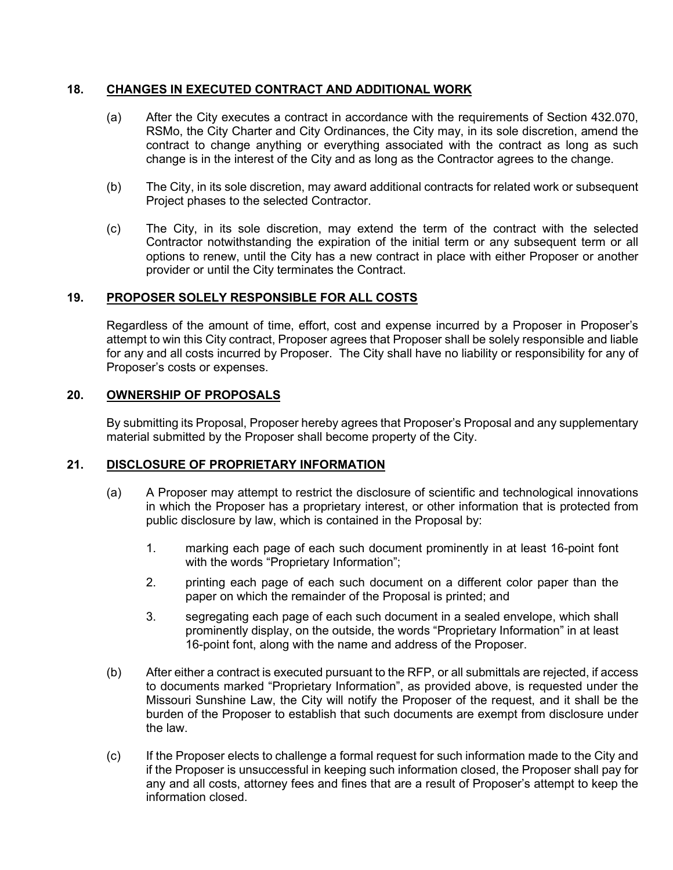#### **18. CHANGES IN EXECUTED CONTRACT AND ADDITIONAL WORK**

- (a) After the City executes a contract in accordance with the requirements of Section 432.070, RSMo, the City Charter and City Ordinances, the City may, in its sole discretion, amend the contract to change anything or everything associated with the contract as long as such change is in the interest of the City and as long as the Contractor agrees to the change.
- (b) The City, in its sole discretion, may award additional contracts for related work or subsequent Project phases to the selected Contractor.
- (c) The City, in its sole discretion, may extend the term of the contract with the selected Contractor notwithstanding the expiration of the initial term or any subsequent term or all options to renew, until the City has a new contract in place with either Proposer or another provider or until the City terminates the Contract.

#### **19. PROPOSER SOLELY RESPONSIBLE FOR ALL COSTS**

Regardless of the amount of time, effort, cost and expense incurred by a Proposer in Proposer's attempt to win this City contract, Proposer agrees that Proposer shall be solely responsible and liable for any and all costs incurred by Proposer. The City shall have no liability or responsibility for any of Proposer's costs or expenses.

#### **20. OWNERSHIP OF PROPOSALS**

By submitting its Proposal, Proposer hereby agrees that Proposer's Proposal and any supplementary material submitted by the Proposer shall become property of the City.

#### **21. DISCLOSURE OF PROPRIETARY INFORMATION**

- (a) A Proposer may attempt to restrict the disclosure of scientific and technological innovations in which the Proposer has a proprietary interest, or other information that is protected from public disclosure by law, which is contained in the Proposal by:
	- 1. marking each page of each such document prominently in at least 16-point font with the words "Proprietary Information";
	- 2. printing each page of each such document on a different color paper than the paper on which the remainder of the Proposal is printed; and
	- 3. segregating each page of each such document in a sealed envelope, which shall prominently display, on the outside, the words "Proprietary Information" in at least 16-point font, along with the name and address of the Proposer.
- (b) After either a contract is executed pursuant to the RFP, or all submittals are rejected, if access to documents marked "Proprietary Information", as provided above, is requested under the Missouri Sunshine Law, the City will notify the Proposer of the request, and it shall be the burden of the Proposer to establish that such documents are exempt from disclosure under the law.
- (c) If the Proposer elects to challenge a formal request for such information made to the City and if the Proposer is unsuccessful in keeping such information closed, the Proposer shall pay for any and all costs, attorney fees and fines that are a result of Proposer's attempt to keep the information closed.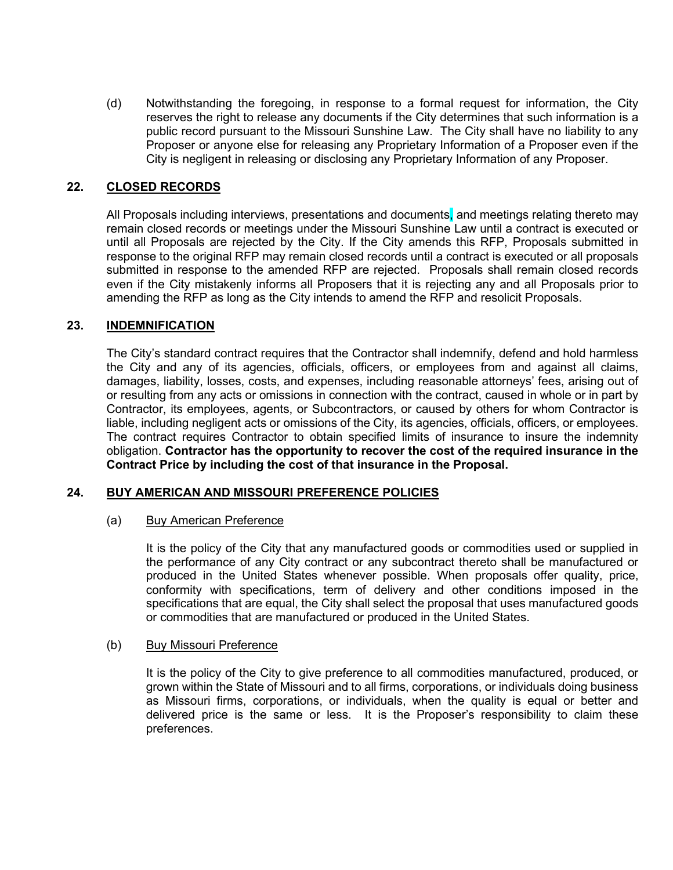(d) Notwithstanding the foregoing, in response to a formal request for information, the City reserves the right to release any documents if the City determines that such information is a public record pursuant to the Missouri Sunshine Law. The City shall have no liability to any Proposer or anyone else for releasing any Proprietary Information of a Proposer even if the City is negligent in releasing or disclosing any Proprietary Information of any Proposer.

#### **22. CLOSED RECORDS**

All Proposals including interviews, presentations and documents, and meetings relating thereto may remain closed records or meetings under the Missouri Sunshine Law until a contract is executed or until all Proposals are rejected by the City. If the City amends this RFP, Proposals submitted in response to the original RFP may remain closed records until a contract is executed or all proposals submitted in response to the amended RFP are rejected. Proposals shall remain closed records even if the City mistakenly informs all Proposers that it is rejecting any and all Proposals prior to amending the RFP as long as the City intends to amend the RFP and resolicit Proposals.

#### **23. INDEMNIFICATION**

The City's standard contract requires that the Contractor shall indemnify, defend and hold harmless the City and any of its agencies, officials, officers, or employees from and against all claims, damages, liability, losses, costs, and expenses, including reasonable attorneys' fees, arising out of or resulting from any acts or omissions in connection with the contract, caused in whole or in part by Contractor, its employees, agents, or Subcontractors, or caused by others for whom Contractor is liable, including negligent acts or omissions of the City, its agencies, officials, officers, or employees. The contract requires Contractor to obtain specified limits of insurance to insure the indemnity obligation. **Contractor has the opportunity to recover the cost of the required insurance in the Contract Price by including the cost of that insurance in the Proposal.**

#### **24. BUY AMERICAN AND MISSOURI PREFERENCE POLICIES**

#### (a) Buy American Preference

It is the policy of the City that any manufactured goods or commodities used or supplied in the performance of any City contract or any subcontract thereto shall be manufactured or produced in the United States whenever possible. When proposals offer quality, price, conformity with specifications, term of delivery and other conditions imposed in the specifications that are equal, the City shall select the proposal that uses manufactured goods or commodities that are manufactured or produced in the United States.

#### (b) Buy Missouri Preference

It is the policy of the City to give preference to all commodities manufactured, produced, or grown within the State of Missouri and to all firms, corporations, or individuals doing business as Missouri firms, corporations, or individuals, when the quality is equal or better and delivered price is the same or less. It is the Proposer's responsibility to claim these preferences.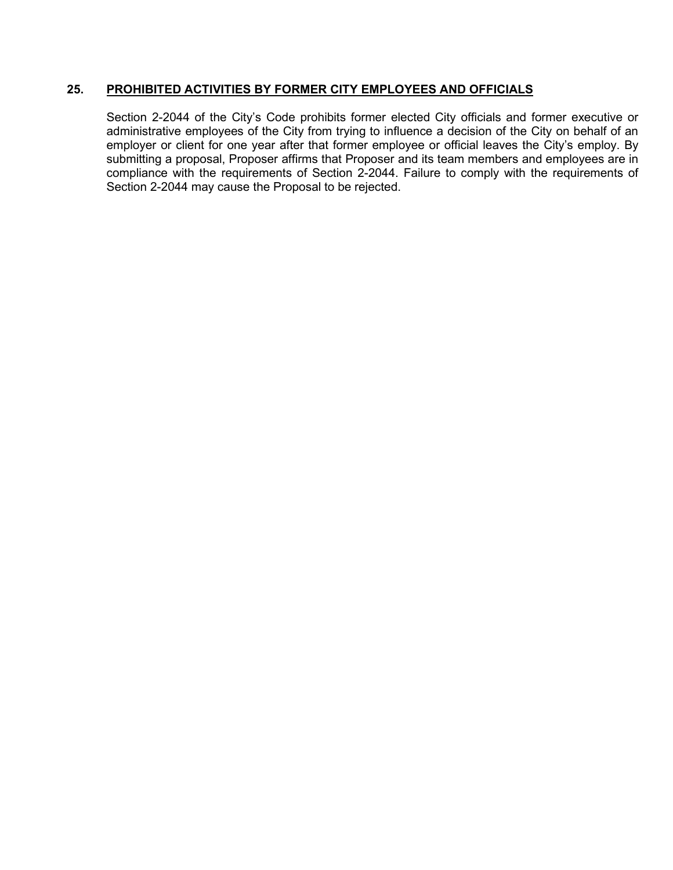#### **25. PROHIBITED ACTIVITIES BY FORMER CITY EMPLOYEES AND OFFICIALS**

Section 2-2044 of the City's Code prohibits former elected City officials and former executive or administrative employees of the City from trying to influence a decision of the City on behalf of an employer or client for one year after that former employee or official leaves the City's employ. By submitting a proposal, Proposer affirms that Proposer and its team members and employees are in compliance with the requirements of Section 2-2044. Failure to comply with the requirements of Section 2-2044 may cause the Proposal to be rejected.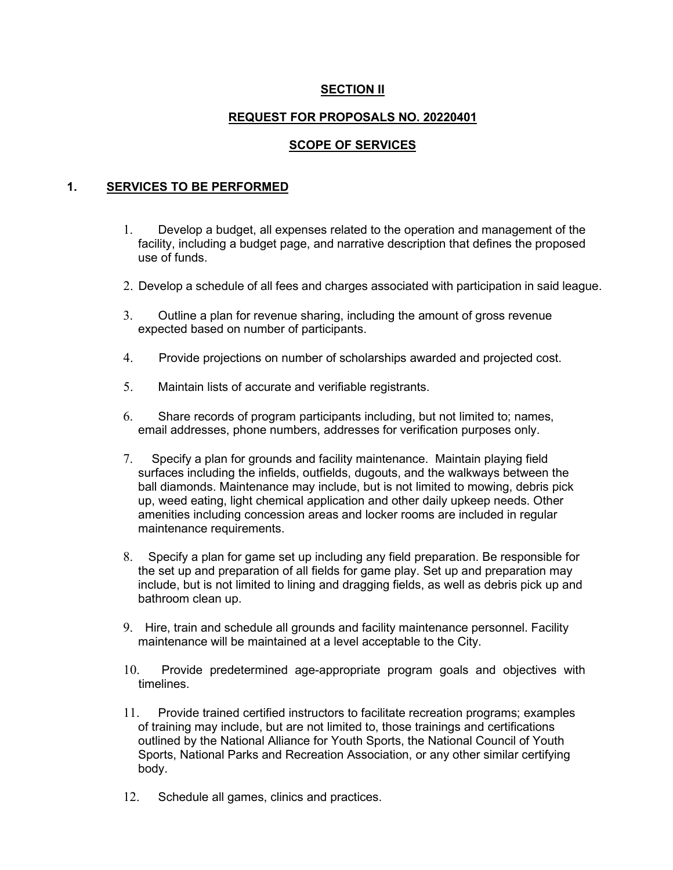#### **SECTION II**

# **REQUEST FOR PROPOSALS NO. 20220401**

# **SCOPE OF SERVICES**

#### **1. SERVICES TO BE PERFORMED**

- 1. Develop a budget, all expenses related to the operation and management of the facility, including a budget page, and narrative description that defines the proposed use of funds.
- 2. Develop a schedule of all fees and charges associated with participation in said league.
- 3. Outline a plan for revenue sharing, including the amount of gross revenue expected based on number of participants.
- 4. Provide projections on number of scholarships awarded and projected cost.
- 5. Maintain lists of accurate and verifiable registrants.
- 6. Share records of program participants including, but not limited to; names, email addresses, phone numbers, addresses for verification purposes only.
- 7. Specify a plan for grounds and facility maintenance. Maintain playing field surfaces including the infields, outfields, dugouts, and the walkways between the ball diamonds. Maintenance may include, but is not limited to mowing, debris pick up, weed eating, light chemical application and other daily upkeep needs. Other amenities including concession areas and locker rooms are included in regular maintenance requirements.
- 8. Specify a plan for game set up including any field preparation. Be responsible for the set up and preparation of all fields for game play. Set up and preparation may include, but is not limited to lining and dragging fields, as well as debris pick up and bathroom clean up.
- 9. Hire, train and schedule all grounds and facility maintenance personnel. Facility maintenance will be maintained at a level acceptable to the City.
- 10. Provide predetermined age-appropriate program goals and objectives with timelines.
- 11. Provide trained certified instructors to facilitate recreation programs; examples of training may include, but are not limited to, those trainings and certifications outlined by the National Alliance for Youth Sports, the National Council of Youth Sports, National Parks and Recreation Association, or any other similar certifying body.
- 12. Schedule all games, clinics and practices.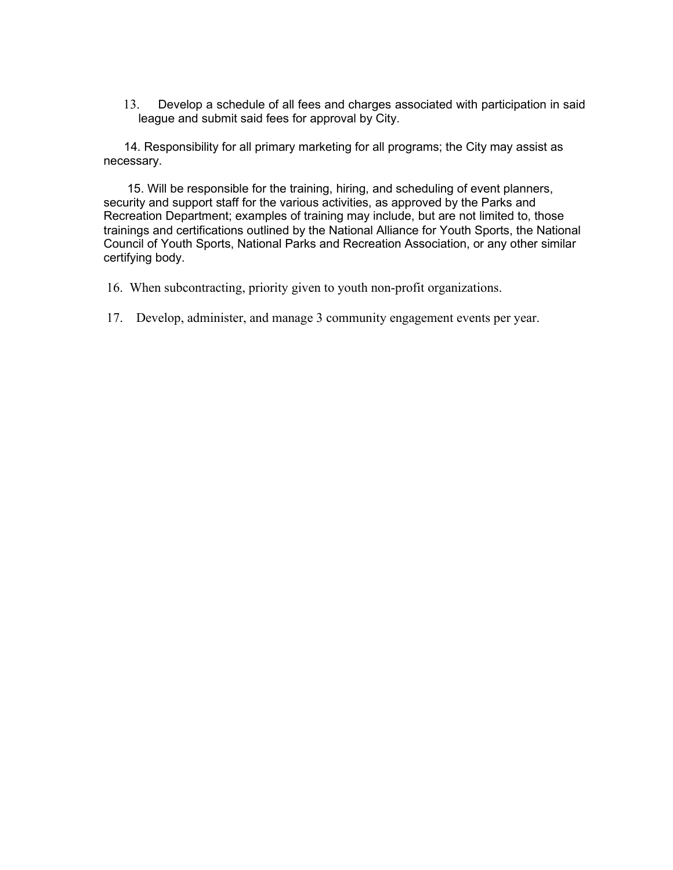13. Develop a schedule of all fees and charges associated with participation in said league and submit said fees for approval by City.

 14. Responsibility for all primary marketing for all programs; the City may assist as necessary.

 15. Will be responsible for the training, hiring, and scheduling of event planners, security and support staff for the various activities, as approved by the Parks and Recreation Department; examples of training may include, but are not limited to, those trainings and certifications outlined by the National Alliance for Youth Sports, the National Council of Youth Sports, National Parks and Recreation Association, or any other similar certifying body.

16. When subcontracting, priority given to youth non-profit organizations.

17. Develop, administer, and manage 3 community engagement events per year.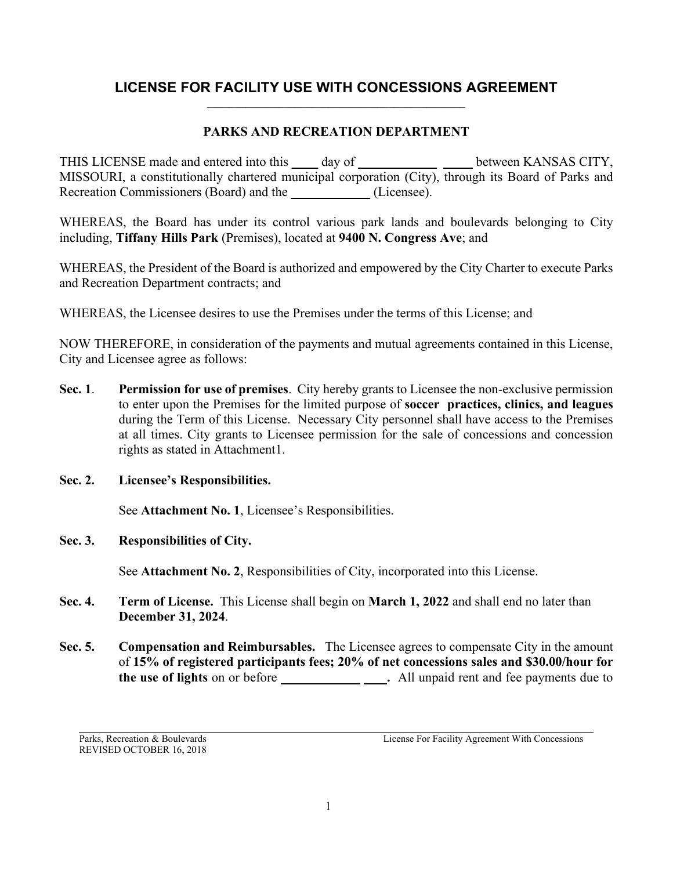### **LICENSE FOR FACILITY USE WITH CONCESSIONS AGREEMENT**  $\_$  , and the set of the set of the set of the set of the set of the set of the set of the set of the set of the set of the set of the set of the set of the set of the set of the set of the set of the set of the set of th

# **PARKS AND RECREATION DEPARTMENT**

THIS LICENSE made and entered into this **\_\_\_\_** day of **\_\_ \_\_** between KANSAS CITY, MISSOURI, a constitutionally chartered municipal corporation (City), through its Board of Parks and Recreation Commissioners (Board) and the *Licensee*.

WHEREAS, the Board has under its control various park lands and boulevards belonging to City including, **Tiffany Hills Park** (Premises), located at **9400 N. Congress Ave**; and

WHEREAS, the President of the Board is authorized and empowered by the City Charter to execute Parks and Recreation Department contracts; and

WHEREAS, the Licensee desires to use the Premises under the terms of this License; and

NOW THEREFORE, in consideration of the payments and mutual agreements contained in this License, City and Licensee agree as follows:

- **Sec. 1**. **Permission for use of premises**. City hereby grants to Licensee the non-exclusive permission to enter upon the Premises for the limited purpose of **soccer practices, clinics, and leagues** during the Term of this License. Necessary City personnel shall have access to the Premises at all times. City grants to Licensee permission for the sale of concessions and concession rights as stated in Attachment1.
- **Sec. 2. Licensee's Responsibilities.**

See **Attachment No. 1**, Licensee's Responsibilities.

**Sec. 3. Responsibilities of City.**

See **Attachment No. 2**, Responsibilities of City, incorporated into this License.

- **Sec. 4. Term of License.** This License shall begin on **March 1, 2022** and shall end no later than **December 31, 2024**.
- **Sec. 5. Compensation and Reimbursables.** The Licensee agrees to compensate City in the amount of **15% of registered participants fees; 20% of net concessions sales and \$30.00/hour for the use of lights** on or before **\_\_\_\_\_\_\_\_\_\_\_\_ .** All unpaid rent and fee payments due to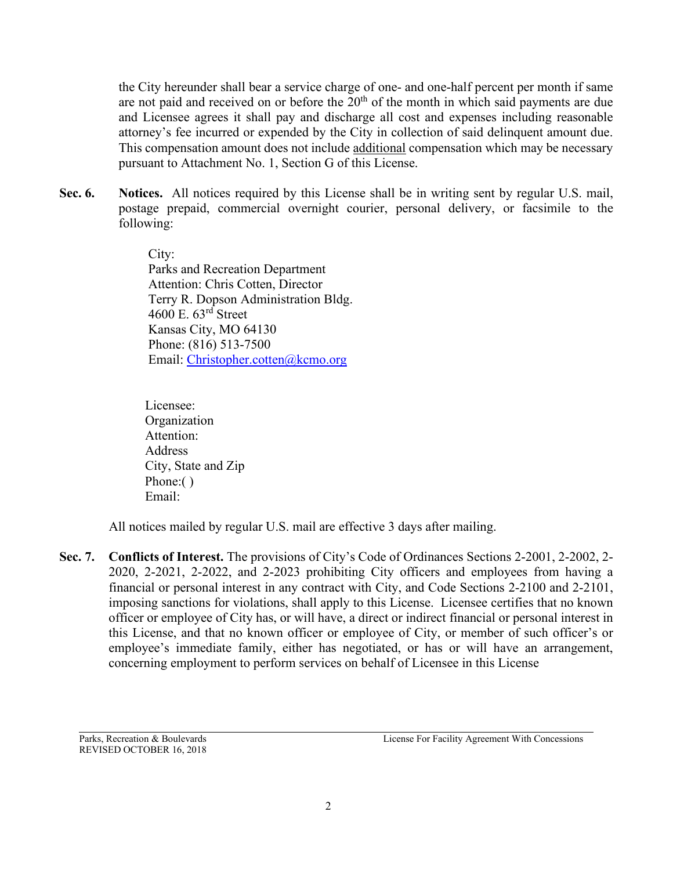the City hereunder shall bear a service charge of one- and one-half percent per month if same are not paid and received on or before the  $20<sup>th</sup>$  of the month in which said payments are due and Licensee agrees it shall pay and discharge all cost and expenses including reasonable attorney's fee incurred or expended by the City in collection of said delinquent amount due. This compensation amount does not include additional compensation which may be necessary pursuant to Attachment No. 1, Section G of this License.

**Sec. 6. Notices.** All notices required by this License shall be in writing sent by regular U.S. mail, postage prepaid, commercial overnight courier, personal delivery, or facsimile to the following:

> City: Parks and Recreation Department Attention: Chris Cotten, Director Terry R. Dopson Administration Bldg. 4600 E. 63rd Street Kansas City, MO 64130 Phone: (816) 513-7500 Email: [Christopher.cotten@kcmo.org](mailto:Christopher.cotten@kcmo.org)

 Licensee: Organization Attention: **Address**  City, State and Zip Phone:() Email:

All notices mailed by regular U.S. mail are effective 3 days after mailing.

**Sec. 7. Conflicts of Interest.** The provisions of City's Code of Ordinances Sections 2-2001, 2-2002, 2- 2020, 2-2021, 2-2022, and 2-2023 prohibiting City officers and employees from having a financial or personal interest in any contract with City, and Code Sections 2-2100 and 2-2101, imposing sanctions for violations, shall apply to this License. Licensee certifies that no known officer or employee of City has, or will have, a direct or indirect financial or personal interest in this License, and that no known officer or employee of City, or member of such officer's or employee's immediate family, either has negotiated, or has or will have an arrangement, concerning employment to perform services on behalf of Licensee in this License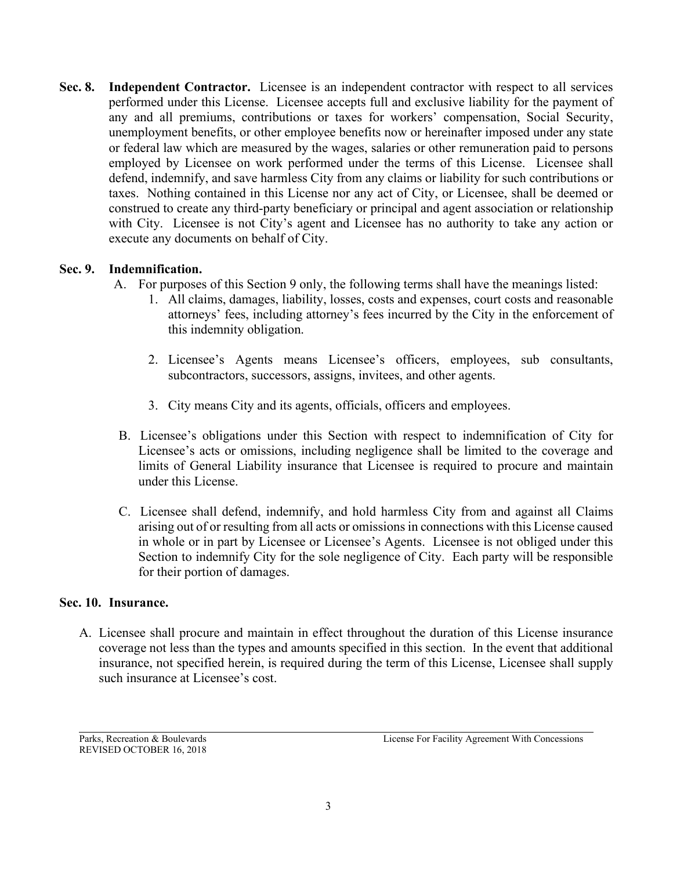**Sec. 8. Independent Contractor.** Licensee is an independent contractor with respect to all services performed under this License. Licensee accepts full and exclusive liability for the payment of any and all premiums, contributions or taxes for workers' compensation, Social Security, unemployment benefits, or other employee benefits now or hereinafter imposed under any state or federal law which are measured by the wages, salaries or other remuneration paid to persons employed by Licensee on work performed under the terms of this License. Licensee shall defend, indemnify, and save harmless City from any claims or liability for such contributions or taxes. Nothing contained in this License nor any act of City, or Licensee, shall be deemed or construed to create any third-party beneficiary or principal and agent association or relationship with City. Licensee is not City's agent and Licensee has no authority to take any action or execute any documents on behalf of City.

# **Sec. 9. Indemnification.**

- A. For purposes of this Section 9 only, the following terms shall have the meanings listed:
	- 1. All claims, damages, liability, losses, costs and expenses, court costs and reasonable attorneys' fees, including attorney's fees incurred by the City in the enforcement of this indemnity obligation.
	- 2. Licensee's Agents means Licensee's officers, employees, sub consultants, subcontractors, successors, assigns, invitees, and other agents.
	- 3. City means City and its agents, officials, officers and employees.
	- B. Licensee's obligations under this Section with respect to indemnification of City for Licensee's acts or omissions, including negligence shall be limited to the coverage and limits of General Liability insurance that Licensee is required to procure and maintain under this License.
	- C. Licensee shall defend, indemnify, and hold harmless City from and against all Claims arising out of or resulting from all acts or omissions in connections with this License caused in whole or in part by Licensee or Licensee's Agents. Licensee is not obliged under this Section to indemnify City for the sole negligence of City. Each party will be responsible for their portion of damages.

#### **Sec. 10. Insurance.**

A. Licensee shall procure and maintain in effect throughout the duration of this License insurance coverage not less than the types and amounts specified in this section. In the event that additional insurance, not specified herein, is required during the term of this License, Licensee shall supply such insurance at Licensee's cost.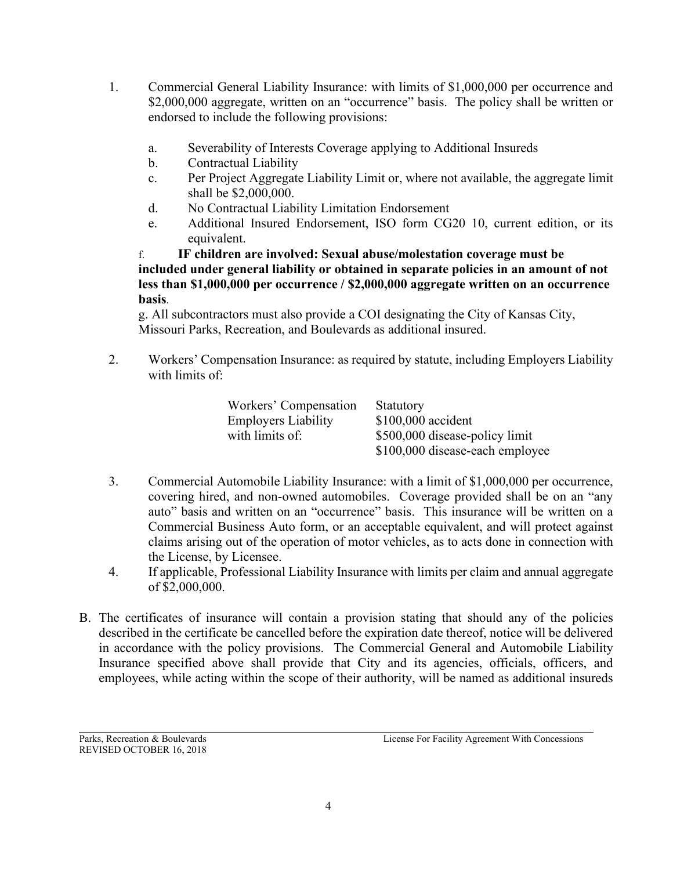- 1. Commercial General Liability Insurance: with limits of \$1,000,000 per occurrence and \$2,000,000 aggregate, written on an "occurrence" basis. The policy shall be written or endorsed to include the following provisions:
	- a. Severability of Interests Coverage applying to Additional Insureds
	- b. Contractual Liability
	- c. Per Project Aggregate Liability Limit or, where not available, the aggregate limit shall be \$2,000,000.
	- d. No Contractual Liability Limitation Endorsement
	- e. Additional Insured Endorsement, ISO form CG20 10, current edition, or its equivalent.

f. **IF children are involved: Sexual abuse/molestation coverage must be included under general liability or obtained in separate policies in an amount of not less than \$1,000,000 per occurrence / \$2,000,000 aggregate written on an occurrence basis**.

g. All subcontractors must also provide a COI designating the City of Kansas City, Missouri Parks, Recreation, and Boulevards as additional insured.

2. Workers' Compensation Insurance: as required by statute, including Employers Liability with limits of:

| Workers' Compensation      | Statutory                       |
|----------------------------|---------------------------------|
| <b>Employers Liability</b> | $$100,000$ accident             |
| with limits of:            | \$500,000 disease-policy limit  |
|                            | \$100,000 disease-each employee |

- 3. Commercial Automobile Liability Insurance: with a limit of \$1,000,000 per occurrence, covering hired, and non-owned automobiles. Coverage provided shall be on an "any auto" basis and written on an "occurrence" basis. This insurance will be written on a Commercial Business Auto form, or an acceptable equivalent, and will protect against claims arising out of the operation of motor vehicles, as to acts done in connection with the License, by Licensee.
- 4. If applicable, Professional Liability Insurance with limits per claim and annual aggregate of \$2,000,000.
- B. The certificates of insurance will contain a provision stating that should any of the policies described in the certificate be cancelled before the expiration date thereof, notice will be delivered in accordance with the policy provisions. The Commercial General and Automobile Liability Insurance specified above shall provide that City and its agencies, officials, officers, and employees, while acting within the scope of their authority, will be named as additional insureds

REVISED OCTOBER 16, 2018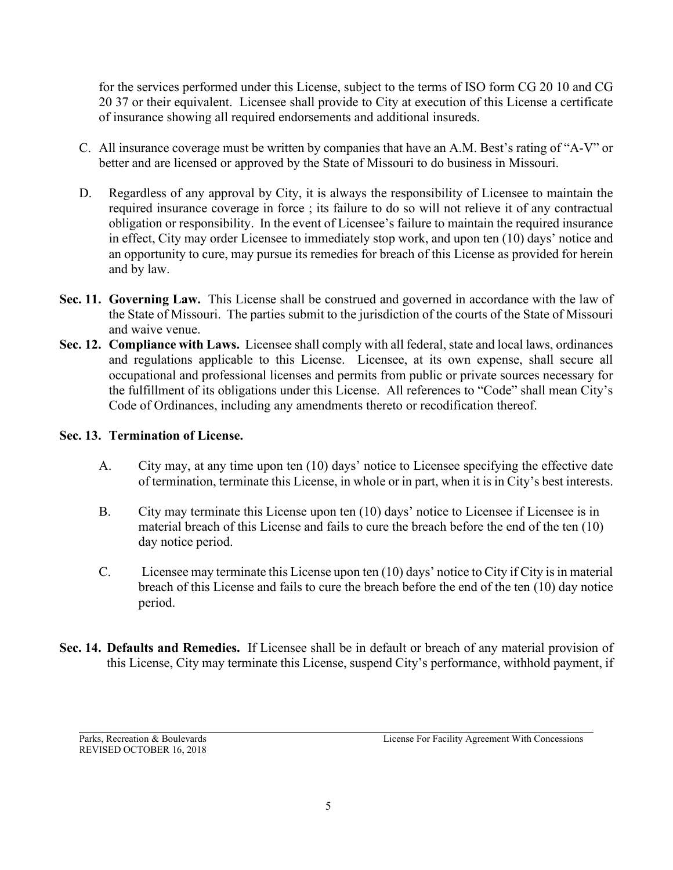for the services performed under this License, subject to the terms of ISO form CG 20 10 and CG 20 37 or their equivalent. Licensee shall provide to City at execution of this License a certificate of insurance showing all required endorsements and additional insureds.

- C. All insurance coverage must be written by companies that have an A.M. Best's rating of "A-V" or better and are licensed or approved by the State of Missouri to do business in Missouri.
- D. Regardless of any approval by City, it is always the responsibility of Licensee to maintain the required insurance coverage in force ; its failure to do so will not relieve it of any contractual obligation or responsibility. In the event of Licensee's failure to maintain the required insurance in effect, City may order Licensee to immediately stop work, and upon ten (10) days' notice and an opportunity to cure, may pursue its remedies for breach of this License as provided for herein and by law.
- **Sec. 11. Governing Law.** This License shall be construed and governed in accordance with the law of the State of Missouri. The parties submit to the jurisdiction of the courts of the State of Missouri and waive venue.
- **Sec. 12. Compliance with Laws.** Licensee shall comply with all federal, state and local laws, ordinances and regulations applicable to this License. Licensee, at its own expense, shall secure all occupational and professional licenses and permits from public or private sources necessary for the fulfillment of its obligations under this License. All references to "Code" shall mean City's Code of Ordinances, including any amendments thereto or recodification thereof.

# **Sec. 13. Termination of License.**

- A. City may, at any time upon ten (10) days' notice to Licensee specifying the effective date of termination, terminate this License, in whole or in part, when it is in City's best interests.
- B. City may terminate this License upon ten (10) days' notice to Licensee if Licensee is in material breach of this License and fails to cure the breach before the end of the ten (10) day notice period.
- C. Licensee may terminate this License upon ten (10) days' notice to City if City is in material breach of this License and fails to cure the breach before the end of the ten (10) day notice period.
- **Sec. 14. Defaults and Remedies.** If Licensee shall be in default or breach of any material provision of this License, City may terminate this License, suspend City's performance, withhold payment, if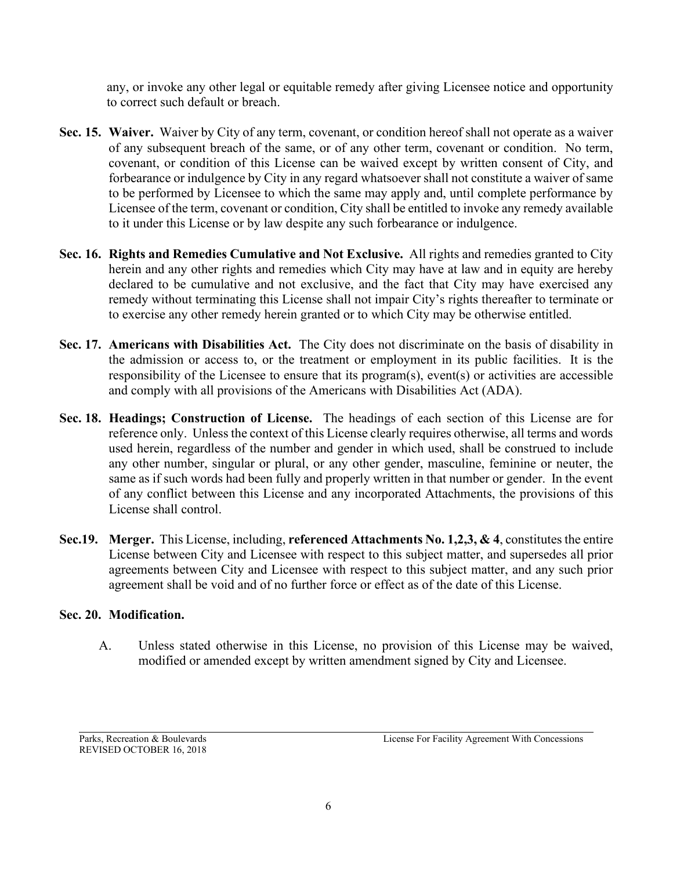any, or invoke any other legal or equitable remedy after giving Licensee notice and opportunity to correct such default or breach.

- **Sec. 15. Waiver.** Waiver by City of any term, covenant, or condition hereof shall not operate as a waiver of any subsequent breach of the same, or of any other term, covenant or condition. No term, covenant, or condition of this License can be waived except by written consent of City, and forbearance or indulgence by City in any regard whatsoever shall not constitute a waiver of same to be performed by Licensee to which the same may apply and, until complete performance by Licensee of the term, covenant or condition, City shall be entitled to invoke any remedy available to it under this License or by law despite any such forbearance or indulgence.
- **Sec. 16. Rights and Remedies Cumulative and Not Exclusive.** All rights and remedies granted to City herein and any other rights and remedies which City may have at law and in equity are hereby declared to be cumulative and not exclusive, and the fact that City may have exercised any remedy without terminating this License shall not impair City's rights thereafter to terminate or to exercise any other remedy herein granted or to which City may be otherwise entitled.
- **Sec. 17. Americans with Disabilities Act.** The City does not discriminate on the basis of disability in the admission or access to, or the treatment or employment in its public facilities. It is the responsibility of the Licensee to ensure that its program(s), event(s) or activities are accessible and comply with all provisions of the Americans with Disabilities Act (ADA).
- **Sec. 18. Headings; Construction of License.** The headings of each section of this License are for reference only. Unless the context of this License clearly requires otherwise, all terms and words used herein, regardless of the number and gender in which used, shall be construed to include any other number, singular or plural, or any other gender, masculine, feminine or neuter, the same as if such words had been fully and properly written in that number or gender. In the event of any conflict between this License and any incorporated Attachments, the provisions of this License shall control.
- **Sec.19. Merger.** This License, including, **referenced Attachments No. 1,2,3, & 4**, constitutes the entire License between City and Licensee with respect to this subject matter, and supersedes all prior agreements between City and Licensee with respect to this subject matter, and any such prior agreement shall be void and of no further force or effect as of the date of this License.

# **Sec. 20. Modification.**

A. Unless stated otherwise in this License, no provision of this License may be waived, modified or amended except by written amendment signed by City and Licensee.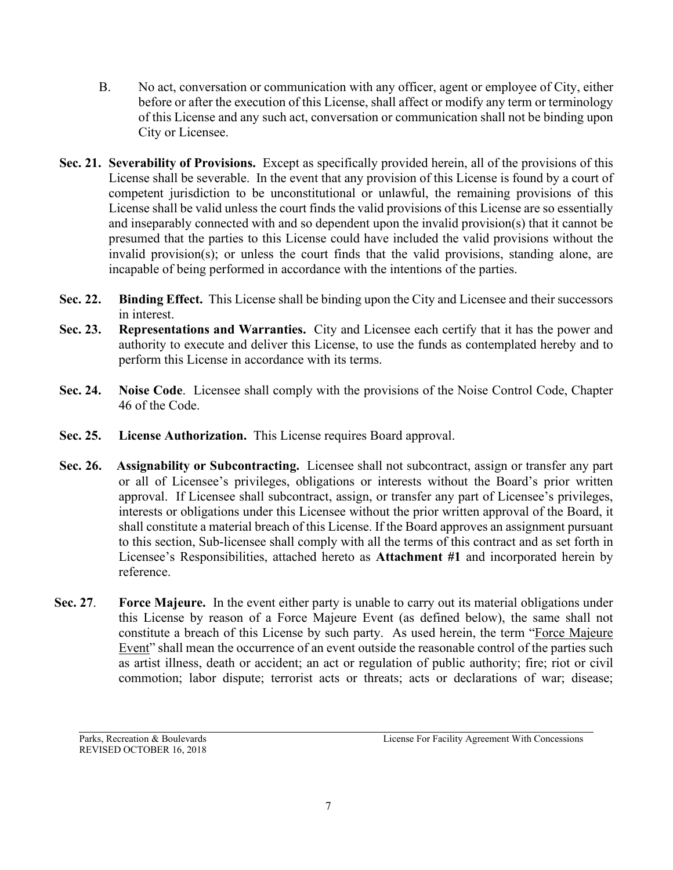- B. No act, conversation or communication with any officer, agent or employee of City, either before or after the execution of this License, shall affect or modify any term or terminology of this License and any such act, conversation or communication shall not be binding upon City or Licensee.
- **Sec. 21. Severability of Provisions.** Except as specifically provided herein, all of the provisions of this License shall be severable. In the event that any provision of this License is found by a court of competent jurisdiction to be unconstitutional or unlawful, the remaining provisions of this License shall be valid unless the court finds the valid provisions of this License are so essentially and inseparably connected with and so dependent upon the invalid provision(s) that it cannot be presumed that the parties to this License could have included the valid provisions without the invalid provision(s); or unless the court finds that the valid provisions, standing alone, are incapable of being performed in accordance with the intentions of the parties.
- **Sec. 22. Binding Effect.** This License shall be binding upon the City and Licensee and their successors in interest.
- **Sec. 23. Representations and Warranties.** City and Licensee each certify that it has the power and authority to execute and deliver this License, to use the funds as contemplated hereby and to perform this License in accordance with its terms.
- **Sec. 24. Noise Code**. Licensee shall comply with the provisions of the Noise Control Code, Chapter 46 of the Code.
- **Sec. 25. License Authorization.** This License requires Board approval.
- **Sec. 26. Assignability or Subcontracting.** Licensee shall not subcontract, assign or transfer any part or all of Licensee's privileges, obligations or interests without the Board's prior written approval. If Licensee shall subcontract, assign, or transfer any part of Licensee's privileges, interests or obligations under this Licensee without the prior written approval of the Board, it shall constitute a material breach of this License. If the Board approves an assignment pursuant to this section, Sub-licensee shall comply with all the terms of this contract and as set forth in Licensee's Responsibilities, attached hereto as **Attachment #1** and incorporated herein by reference.
- **Sec. 27**. **Force Majeure.** In the event either party is unable to carry out its material obligations under this License by reason of a Force Majeure Event (as defined below), the same shall not constitute a breach of this License by such party. As used herein, the term "Force Majeure Event" shall mean the occurrence of an event outside the reasonable control of the parties such as artist illness, death or accident; an act or regulation of public authority; fire; riot or civil commotion; labor dispute; terrorist acts or threats; acts or declarations of war; disease;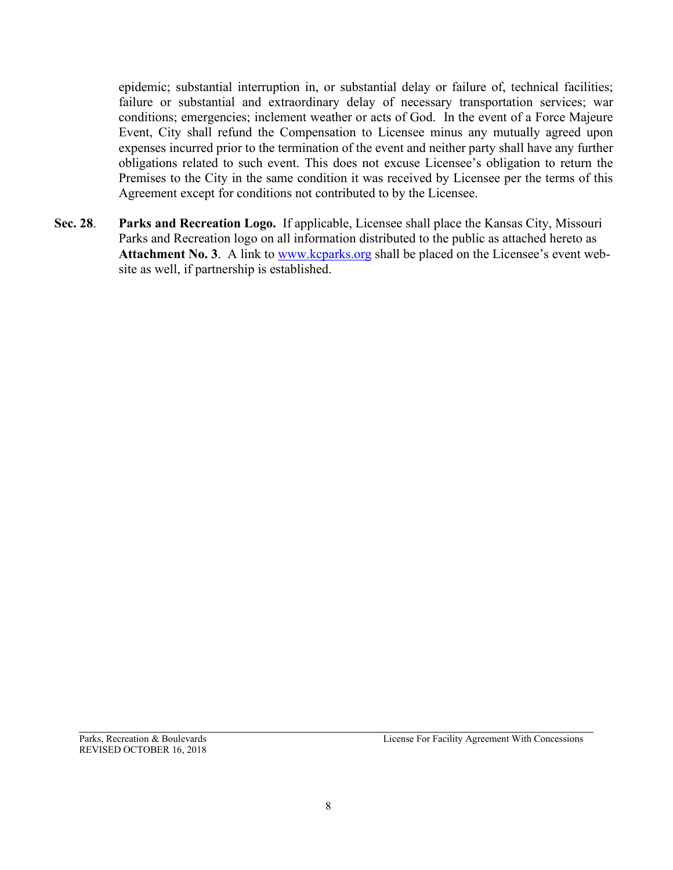epidemic; substantial interruption in, or substantial delay or failure of, technical facilities; failure or substantial and extraordinary delay of necessary transportation services; war conditions; emergencies; inclement weather or acts of God. In the event of a Force Majeure Event, City shall refund the Compensation to Licensee minus any mutually agreed upon expenses incurred prior to the termination of the event and neither party shall have any further obligations related to such event. This does not excuse Licensee's obligation to return the Premises to the City in the same condition it was received by Licensee per the terms of this Agreement except for conditions not contributed to by the Licensee.

**Sec. 28**. **Parks and Recreation Logo.** If applicable, Licensee shall place the Kansas City, Missouri Parks and Recreation logo on all information distributed to the public as attached hereto as Attachment No. 3. A link to [www.kcparks.org](http://www.kcparks.org/) shall be placed on the Licensee's event website as well, if partnership is established.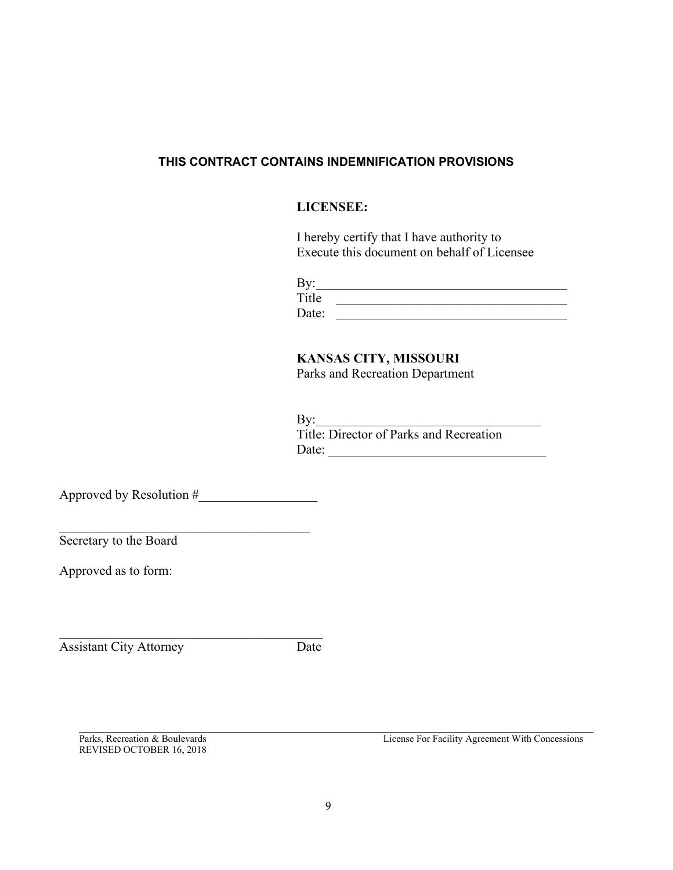#### **THIS CONTRACT CONTAINS INDEMNIFICATION PROVISIONS**

### **LICENSEE:**

I hereby certify that I have authority to Execute this document on behalf of Licensee

| By:   |  |
|-------|--|
| Title |  |
| Date: |  |

# **KANSAS CITY, MISSOURI**

Parks and Recreation Department

 $\mathrm{By:}\qquad$ Title: Director of Parks and Recreation Date: \_\_\_\_\_\_\_\_\_\_\_\_\_\_\_\_\_\_\_\_\_\_\_\_\_\_\_\_\_\_\_\_\_

Approved by Resolution #

\_\_\_\_\_\_\_\_\_\_\_\_\_\_\_\_\_\_\_\_\_\_\_\_\_\_\_\_\_\_\_\_\_\_\_\_\_\_

Secretary to the Board

Approved as to form:

Assistant City Attorney Date

REVISED OCTOBER 16, 2018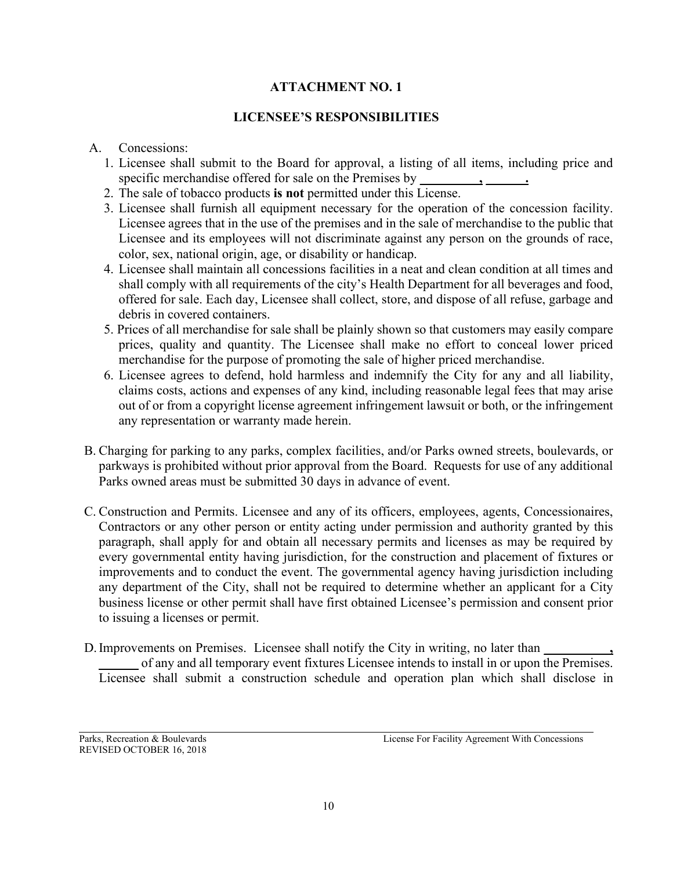# **ATTACHMENT NO. 1**

# **LICENSEE'S RESPONSIBILITIES**

#### A. Concessions:

- 1. Licensee shall submit to the Board for approval, a listing of all items, including price and specific merchandise offered for sale on the Premises by **\_\_\_\_\_\_\_\_\_, \_\_\_\_\_\_.**
- 2. The sale of tobacco products **is not** permitted under this License.
- 3. Licensee shall furnish all equipment necessary for the operation of the concession facility. Licensee agrees that in the use of the premises and in the sale of merchandise to the public that Licensee and its employees will not discriminate against any person on the grounds of race, color, sex, national origin, age, or disability or handicap.
- 4. Licensee shall maintain all concessions facilities in a neat and clean condition at all times and shall comply with all requirements of the city's Health Department for all beverages and food, offered for sale. Each day, Licensee shall collect, store, and dispose of all refuse, garbage and debris in covered containers.
- 5. Prices of all merchandise for sale shall be plainly shown so that customers may easily compare prices, quality and quantity. The Licensee shall make no effort to conceal lower priced merchandise for the purpose of promoting the sale of higher priced merchandise.
- 6. Licensee agrees to defend, hold harmless and indemnify the City for any and all liability, claims costs, actions and expenses of any kind, including reasonable legal fees that may arise out of or from a copyright license agreement infringement lawsuit or both, or the infringement any representation or warranty made herein.
- B. Charging for parking to any parks, complex facilities, and/or Parks owned streets, boulevards, or parkways is prohibited without prior approval from the Board. Requests for use of any additional Parks owned areas must be submitted 30 days in advance of event.
- C. Construction and Permits. Licensee and any of its officers, employees, agents, Concessionaires, Contractors or any other person or entity acting under permission and authority granted by this paragraph, shall apply for and obtain all necessary permits and licenses as may be required by every governmental entity having jurisdiction, for the construction and placement of fixtures or improvements and to conduct the event. The governmental agency having jurisdiction including any department of the City, shall not be required to determine whether an applicant for a City business license or other permit shall have first obtained Licensee's permission and consent prior to issuing a licenses or permit.
- D. Improvements on Premises. Licensee shall notify the City in writing, no later than **\_\_\_\_\_\_** of any and all temporary event fixtures Licensee intends to install in or upon the Premises. Licensee shall submit a construction schedule and operation plan which shall disclose in

REVISED OCTOBER 16, 2018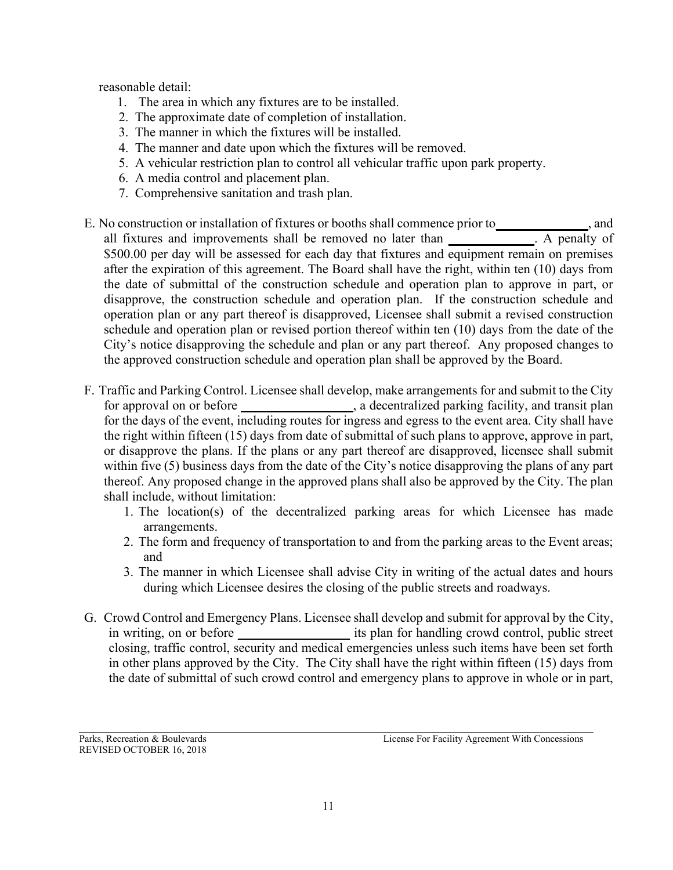reasonable detail:

- 1. The area in which any fixtures are to be installed.
- 2. The approximate date of completion of installation.
- 3. The manner in which the fixtures will be installed.
- 4. The manner and date upon which the fixtures will be removed.
- 5. A vehicular restriction plan to control all vehicular traffic upon park property.
- 6. A media control and placement plan.
- 7. Comprehensive sanitation and trash plan.
- E. No construction or installation of fixtures or booths shall commence prior to**\_\_\_\_\_\_\_\_\_\_\_\_\_\_**, and all fixtures and improvements shall be removed no later than **\_\_\_\_\_\_\_\_\_\_\_\_\_**. A penalty of \$500.00 per day will be assessed for each day that fixtures and equipment remain on premises after the expiration of this agreement. The Board shall have the right, within ten (10) days from the date of submittal of the construction schedule and operation plan to approve in part, or disapprove, the construction schedule and operation plan. If the construction schedule and operation plan or any part thereof is disapproved, Licensee shall submit a revised construction schedule and operation plan or revised portion thereof within ten (10) days from the date of the City's notice disapproving the schedule and plan or any part thereof. Any proposed changes to the approved construction schedule and operation plan shall be approved by the Board.
- F. Traffic and Parking Control. Licensee shall develop, make arrangements for and submit to the City for approval on or before **a**, a decentralized parking facility, and transit plan for the days of the event, including routes for ingress and egress to the event area. City shall have the right within fifteen (15) days from date of submittal of such plans to approve, approve in part, or disapprove the plans. If the plans or any part thereof are disapproved, licensee shall submit within five (5) business days from the date of the City's notice disapproving the plans of any part thereof. Any proposed change in the approved plans shall also be approved by the City. The plan shall include, without limitation:
	- 1. The location(s) of the decentralized parking areas for which Licensee has made arrangements.
	- 2. The form and frequency of transportation to and from the parking areas to the Event areas; and
	- 3. The manner in which Licensee shall advise City in writing of the actual dates and hours during which Licensee desires the closing of the public streets and roadways.
- G. Crowd Control and Emergency Plans. Licensee shall develop and submit for approval by the City, in writing, on or before **all is plan for handling crowd control**, public street closing, traffic control, security and medical emergencies unless such items have been set forth in other plans approved by the City. The City shall have the right within fifteen (15) days from the date of submittal of such crowd control and emergency plans to approve in whole or in part,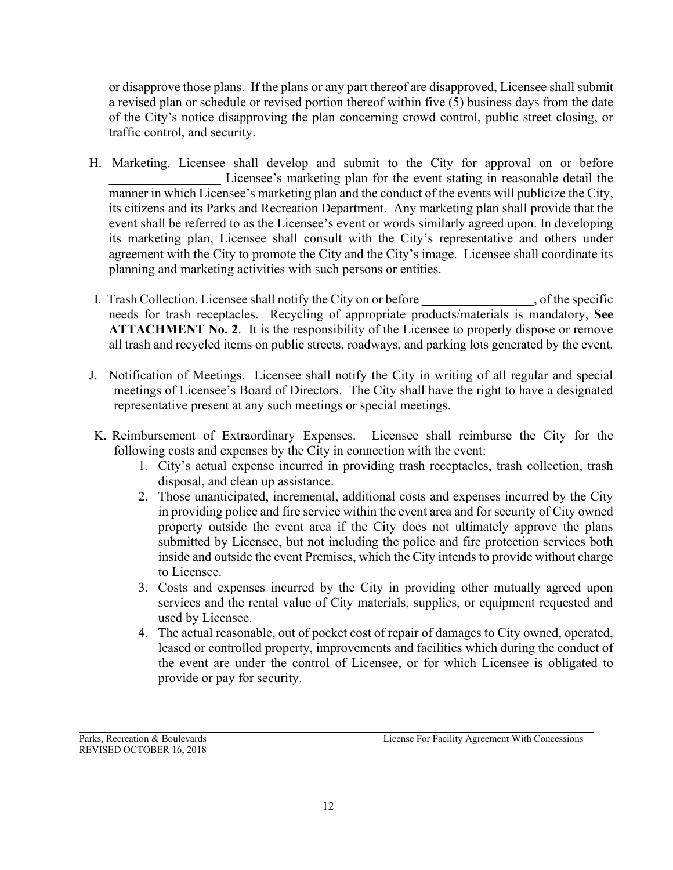or disapprove those plans. If the plans or any part thereof are disapproved, Licensee shall submit a revised plan or schedule or revised portion thereof within five (5) business days from the date of the City's notice disapproving the plan concerning crowd control, public street closing, or traffic control, and security.

- H. Marketing. Licensee shall develop and submit to the City for approval on or before Licensee's marketing plan for the event stating in reasonable detail the manner in which Licensee's marketing plan and the conduct of the events will publicize the City, its citizens and its Parks and Recreation Department. Any marketing plan shall provide that the event shall be referred to as the Licensee's event or words similarly agreed upon. In developing its marketing plan, Licensee shall consult with the City's representative and others under agreement with the City to promote the City and the City's image. Licensee shall coordinate its planning and marketing activities with such persons or entities.
- I. Trash Collection. Licensee shall notify the City on or before **\_\_\_\_\_\_\_\_\_\_\_\_\_\_\_\_\_**, of the specific needs for trash receptacles. Recycling of appropriate products/materials is mandatory, **See ATTACHMENT No. 2**. It is the responsibility of the Licensee to properly dispose or remove all trash and recycled items on public streets, roadways, and parking lots generated by the event.
- J. Notification of Meetings. Licensee shall notify the City in writing of all regular and special meetings of Licensee's Board of Directors. The City shall have the right to have a designated representative present at any such meetings or special meetings.
- K. Reimbursement of Extraordinary Expenses. Licensee shall reimburse the City for the following costs and expenses by the City in connection with the event:
	- 1. City's actual expense incurred in providing trash receptacles, trash collection, trash disposal, and clean up assistance.
	- 2. Those unanticipated, incremental, additional costs and expenses incurred by the City in providing police and fire service within the event area and for security of City owned property outside the event area if the City does not ultimately approve the plans submitted by Licensee, but not including the police and fire protection services both inside and outside the event Premises, which the City intends to provide without charge to Licensee.
	- 3. Costs and expenses incurred by the City in providing other mutually agreed upon services and the rental value of City materials, supplies, or equipment requested and used by Licensee.
	- 4. The actual reasonable, out of pocket cost of repair of damages to City owned, operated, leased or controlled property, improvements and facilities which during the conduct of the event are under the control of Licensee, or for which Licensee is obligated to provide or pay for security.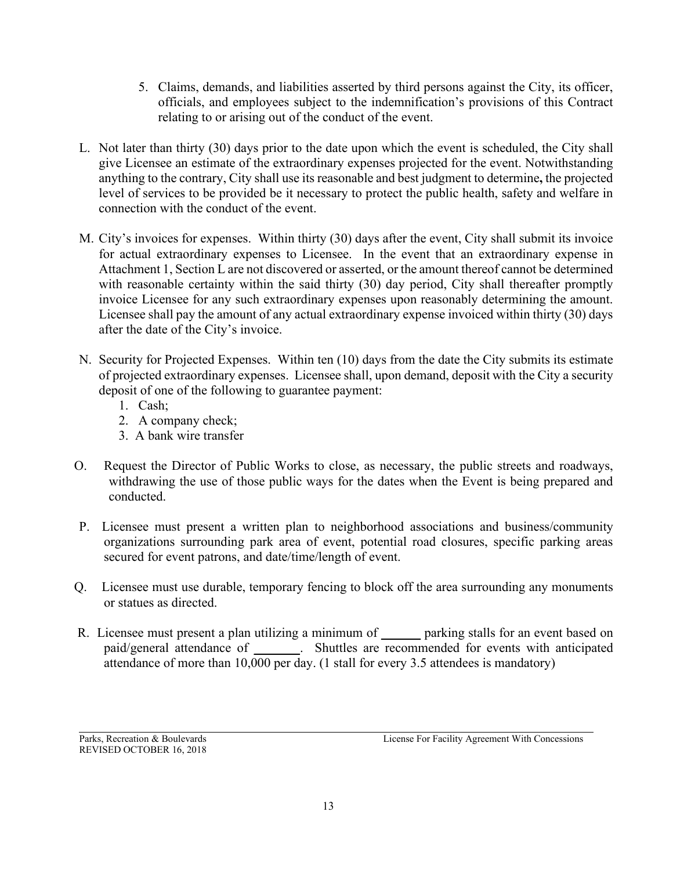- 5. Claims, demands, and liabilities asserted by third persons against the City, its officer, officials, and employees subject to the indemnification's provisions of this Contract relating to or arising out of the conduct of the event.
- L. Not later than thirty (30) days prior to the date upon which the event is scheduled, the City shall give Licensee an estimate of the extraordinary expenses projected for the event. Notwithstanding anything to the contrary, City shall use its reasonable and best judgment to determine**,** the projected level of services to be provided be it necessary to protect the public health, safety and welfare in connection with the conduct of the event.
- M. City's invoices for expenses. Within thirty (30) days after the event, City shall submit its invoice for actual extraordinary expenses to Licensee. In the event that an extraordinary expense in Attachment 1, Section L are not discovered or asserted, or the amount thereof cannot be determined with reasonable certainty within the said thirty (30) day period, City shall thereafter promptly invoice Licensee for any such extraordinary expenses upon reasonably determining the amount. Licensee shall pay the amount of any actual extraordinary expense invoiced within thirty (30) days after the date of the City's invoice.
- N. Security for Projected Expenses. Within ten (10) days from the date the City submits its estimate of projected extraordinary expenses. Licensee shall, upon demand, deposit with the City a security deposit of one of the following to guarantee payment:
	- 1. Cash;
	- 2. A company check;
	- 3. A bank wire transfer
- O. Request the Director of Public Works to close, as necessary, the public streets and roadways, withdrawing the use of those public ways for the dates when the Event is being prepared and conducted.
- P. Licensee must present a written plan to neighborhood associations and business/community organizations surrounding park area of event, potential road closures, specific parking areas secured for event patrons, and date/time/length of event.
- Q. Licensee must use durable, temporary fencing to block off the area surrounding any monuments or statues as directed.
- R. Licensee must present a plan utilizing a minimum of **\_\_\_\_\_\_** parking stalls for an event based on paid/general attendance of **\_\_\_\_\_\_\_**. Shuttles are recommended for events with anticipated attendance of more than 10,000 per day. (1 stall for every 3.5 attendees is mandatory)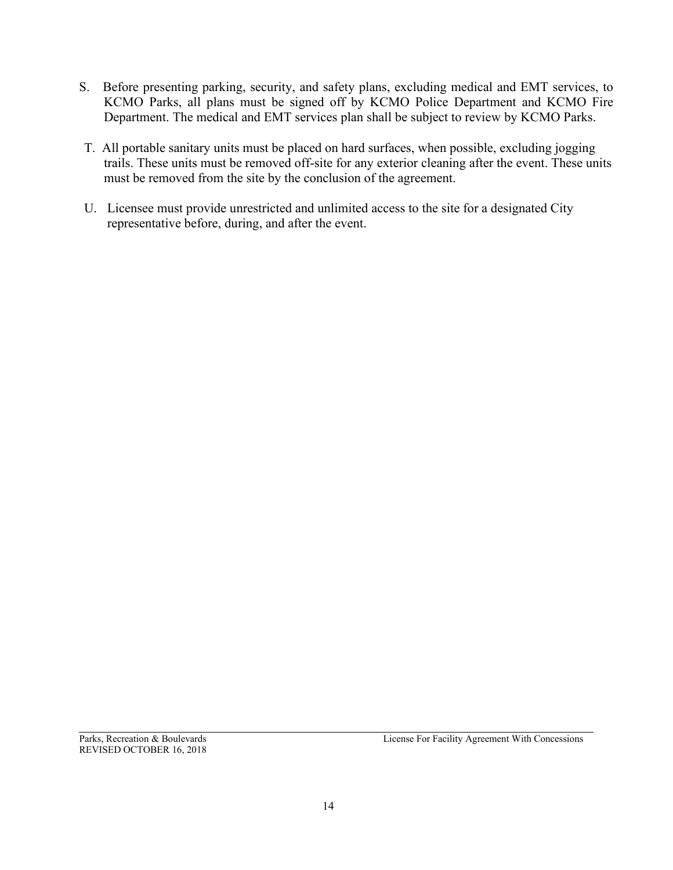- S. Before presenting parking, security, and safety plans, excluding medical and EMT services, to KCMO Parks, all plans must be signed off by KCMO Police Department and KCMO Fire Department. The medical and EMT services plan shall be subject to review by KCMO Parks.
- T. All portable sanitary units must be placed on hard surfaces, when possible, excluding jogging trails. These units must be removed off-site for any exterior cleaning after the event. These units must be removed from the site by the conclusion of the agreement.
- U. Licensee must provide unrestricted and unlimited access to the site for a designated City representative before, during, and after the event.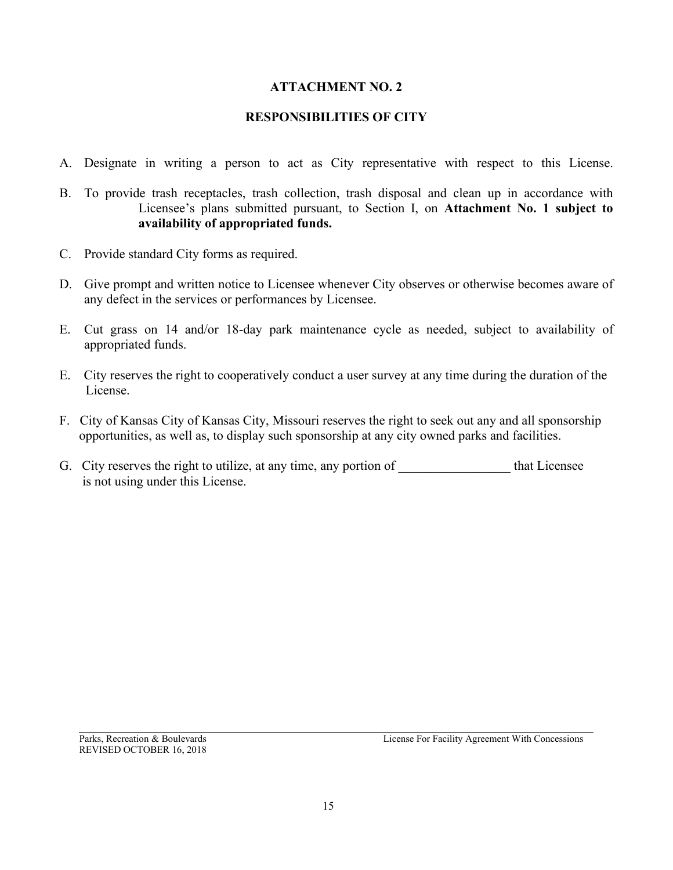### **ATTACHMENT NO. 2**

#### **RESPONSIBILITIES OF CITY**

- A. Designate in writing a person to act as City representative with respect to this License.
- B. To provide trash receptacles, trash collection, trash disposal and clean up in accordance with Licensee's plans submitted pursuant, to Section I, on **Attachment No. 1 subject to availability of appropriated funds.**
- C. Provide standard City forms as required.
- D. Give prompt and written notice to Licensee whenever City observes or otherwise becomes aware of any defect in the services or performances by Licensee.
- E. Cut grass on 14 and/or 18-day park maintenance cycle as needed, subject to availability of appropriated funds.
- E. City reserves the right to cooperatively conduct a user survey at any time during the duration of the License.
- F. City of Kansas City of Kansas City, Missouri reserves the right to seek out any and all sponsorship opportunities, as well as, to display such sponsorship at any city owned parks and facilities.
- G. City reserves the right to utilize, at any time, any portion of \_\_\_\_\_\_\_\_\_\_\_\_\_\_ that Licensee is not using under this License.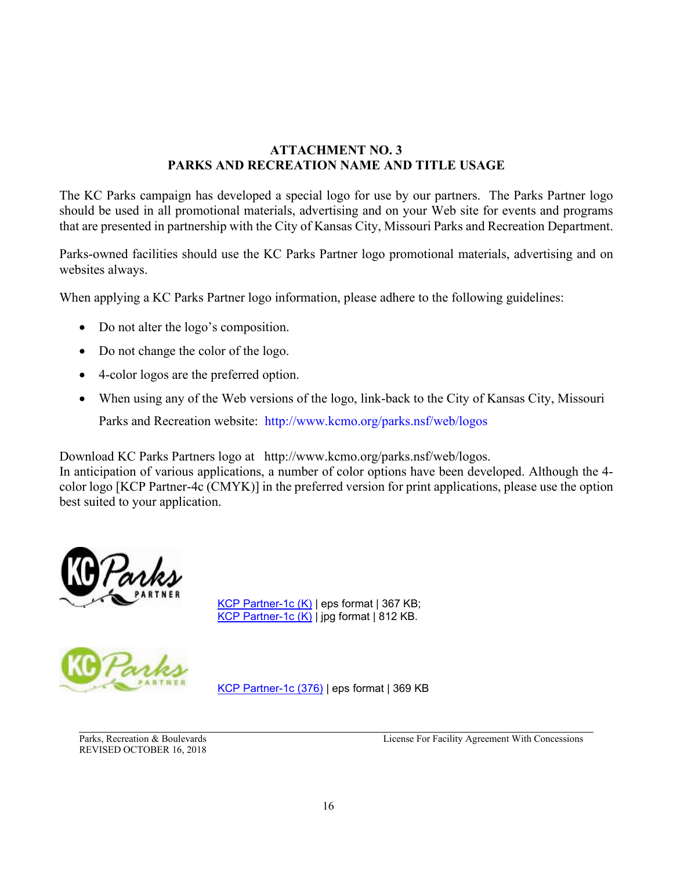# **ATTACHMENT NO. 3 PARKS AND RECREATION NAME AND TITLE USAGE**

The KC Parks campaign has developed a special logo for use by our partners. The Parks Partner logo should be used in all promotional materials, advertising and on your Web site for events and programs that are presented in partnership with the City of Kansas City, Missouri Parks and Recreation Department.

Parks-owned facilities should use the KC Parks Partner logo promotional materials, advertising and on websites always.

When applying a KC Parks Partner logo information, please adhere to the following guidelines:

- Do not alter the logo's composition.
- Do not change the color of the logo.
- 4-color logos are the preferred option.
- When using any of the Web versions of the logo, link-back to the City of Kansas City, Missouri Parks and Recreation website: http://www.kcmo.org/parks.nsf/web/logos

Download KC Parks Partners logo at http://www.kcmo.org/parks.nsf/web/logos.

In anticipation of various applications, a number of color options have been developed. Although the 4 color logo [KCP Partner-4c (CMYK)] in the preferred version for print applications, please use the option best suited to your application.



[KCP Partner-1c](http://www.kcmo.org/parks/logos/kcppartner1c%20_k.eps) (K) | eps format | 367 KB; [KCP Partner-1c \(K\)](http://www.kcmo.org/parks/logos/kcppartner1c_k.jpg) | jpg format | 812 KB.

[KCP Partner-1c \(376\)](http://www.kcmo.org/parks/logos/KCP_Partner1c376.eps) | eps format | 369 KB

REVISED OCTOBER 16, 2018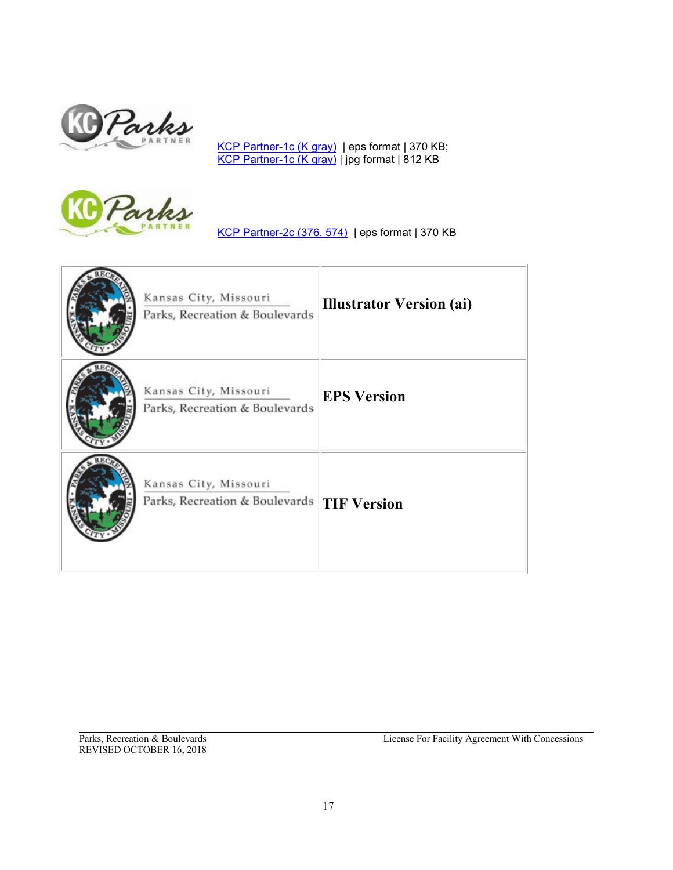

[KCP Partner-1c \(K gray\)](http://www.kcmo.org/parks/logos/KCP_Partner1cKgray.eps) | eps format | 370 KB; <u>[KCP Partner-1c \(K gray\)](http://www.kcmo.org/parks/logos/KCP_Partner1cKgray.jpg)</u> | jpg format | 812 KB



[KCP Partner-2c \(376, 574\)](http://www.kcmo.org/parks/logos/KCP_Partner2c.eps) | eps format | 370 KB

| Kansas City, Missouri<br>Parks, Recreation & Boulevards | Illustrator Version (ai) |
|---------------------------------------------------------|--------------------------|
| Kansas City, Missouri<br>Parks, Recreation & Boulevards | <b>EPS Version</b>       |
| Kansas City, Missouri<br>Parks, Recreation & Boulevards | <b>TIF Version</b>       |

REVISED OCTOBER 16, 2018